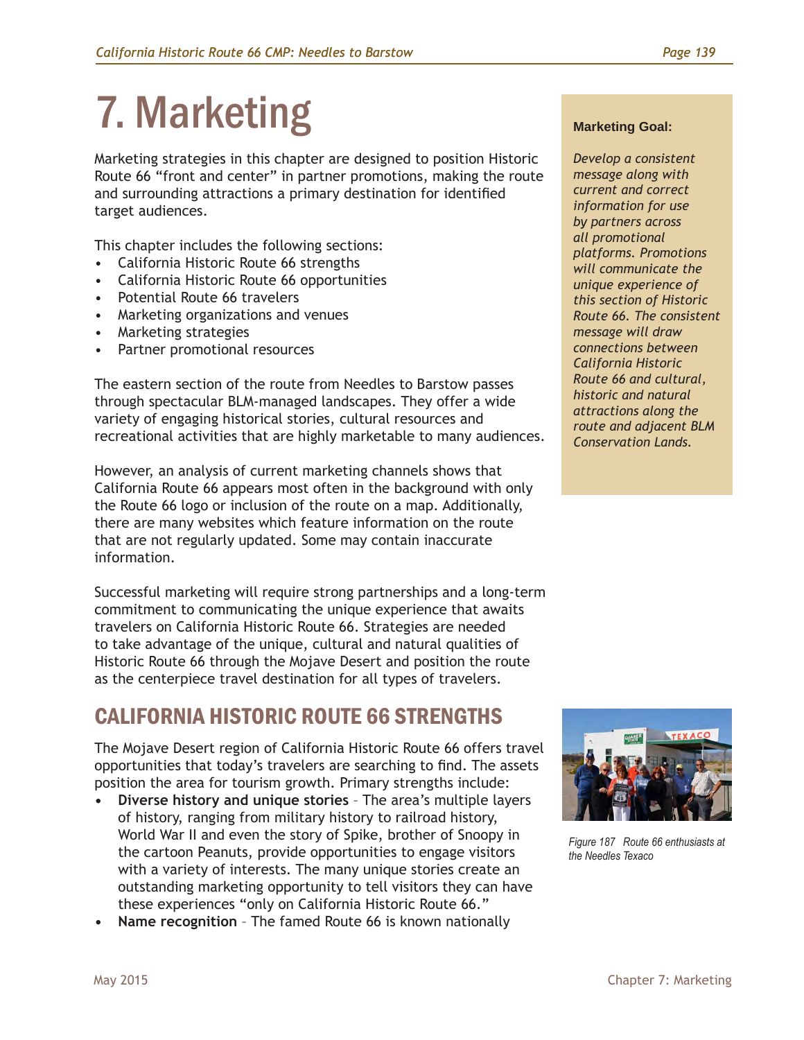# 7. Marketing

Marketing strategies in this chapter are designed to position Historic Route 66 "front and center" in partner promotions, making the route and surrounding attractions a primary destination for identified target audiences.

This chapter includes the following sections:

- California Historic Route 66 strengths
- California Historic Route 66 opportunities
- Potential Route 66 travelers
- Marketing organizations and venues
- Marketing strategies
- Partner promotional resources

The eastern section of the route from Needles to Barstow passes through spectacular BLM-managed landscapes. They offer a wide variety of engaging historical stories, cultural resources and recreational activities that are highly marketable to many audiences.

However, an analysis of current marketing channels shows that California Route 66 appears most often in the background with only the Route 66 logo or inclusion of the route on a map. Additionally, there are many websites which feature information on the route that are not regularly updated. Some may contain inaccurate information.

Successful marketing will require strong partnerships and a long-term commitment to communicating the unique experience that awaits travelers on California Historic Route 66. Strategies are needed to take advantage of the unique, cultural and natural qualities of Historic Route 66 through the Mojave Desert and position the route as the centerpiece travel destination for all types of travelers.

# CALIFORNIA HISTORIC ROUTE 66 STRENGTHS

The Mojave Desert region of California Historic Route 66 offers travel opportunities that today's travelers are searching to find. The assets position the area for tourism growth. Primary strengths include:

- **• Diverse history and unique stories** The area's multiple layers of history, ranging from military history to railroad history, World War II and even the story of Spike, brother of Snoopy in the cartoon Peanuts, provide opportunities to engage visitors with a variety of interests. The many unique stories create an outstanding marketing opportunity to tell visitors they can have these experiences "only on California Historic Route 66."
- **• Name recognition** The famed Route 66 is known nationally

#### **Marketing Goal:**

*Develop a consistent message along with current and correct information for use by partners across all promotional platforms. Promotions will communicate the unique experience of this section of Historic Route 66. The consistent message will draw connections between California Historic Route 66 and cultural, historic and natural attractions along the route and adjacent BLM Conservation Lands.*



*Figure 187 Route 66 enthusiasts at the Needles Texaco*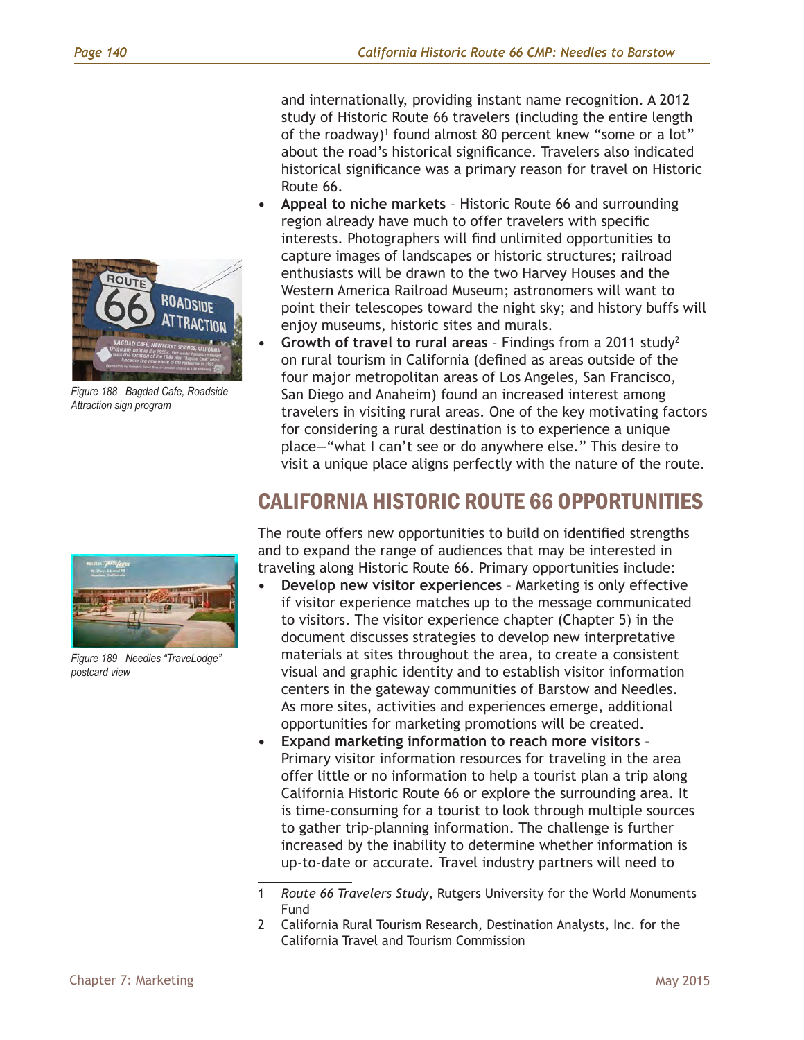

*Figure 188 Bagdad Cafe, Roadside Attraction sign program*

and internationally, providing instant name recognition. A 2012 study of Historic Route 66 travelers (including the entire length of the roadway)<sup>1</sup> found almost 80 percent knew "some or a lot" about the road's historical significance. Travelers also indicated historical significance was a primary reason for travel on Historic Route 66.

- **• Appeal to niche markets** Historic Route 66 and surrounding region already have much to offer travelers with specific interests. Photographers will find unlimited opportunities to capture images of landscapes or historic structures; railroad enthusiasts will be drawn to the two Harvey Houses and the Western America Railroad Museum; astronomers will want to point their telescopes toward the night sky; and history buffs will enjoy museums, historic sites and murals.
- **• Growth of travel to rural areas** Findings from a 2011 study2 on rural tourism in California (defined as areas outside of the four major metropolitan areas of Los Angeles, San Francisco, San Diego and Anaheim) found an increased interest among travelers in visiting rural areas. One of the key motivating factors for considering a rural destination is to experience a unique place—"what I can't see or do anywhere else." This desire to visit a unique place aligns perfectly with the nature of the route.

# CALIFORNIA HISTORIC ROUTE 66 OPPORTUNITIES

The route offers new opportunities to build on identified strengths and to expand the range of audiences that may be interested in traveling along Historic Route 66. Primary opportunities include:

- **• Develop new visitor experiences** Marketing is only effective if visitor experience matches up to the message communicated to visitors. The visitor experience chapter (Chapter 5) in the document discusses strategies to develop new interpretative materials at sites throughout the area, to create a consistent visual and graphic identity and to establish visitor information centers in the gateway communities of Barstow and Needles. As more sites, activities and experiences emerge, additional opportunities for marketing promotions will be created.
- **• Expand marketing information to reach more visitors** Primary visitor information resources for traveling in the area offer little or no information to help a tourist plan a trip along California Historic Route 66 or explore the surrounding area. It is time-consuming for a tourist to look through multiple sources to gather trip-planning information. The challenge is further increased by the inability to determine whether information is up-to-date or accurate. Travel industry partners will need to

2 California Rural Tourism Research, Destination Analysts, Inc. for the California Travel and Tourism Commission



*Figure 189 Needles "TraveLodge" postcard view*

<sup>1</sup> *Route 66 Travelers Study*, Rutgers University for the World Monuments Fund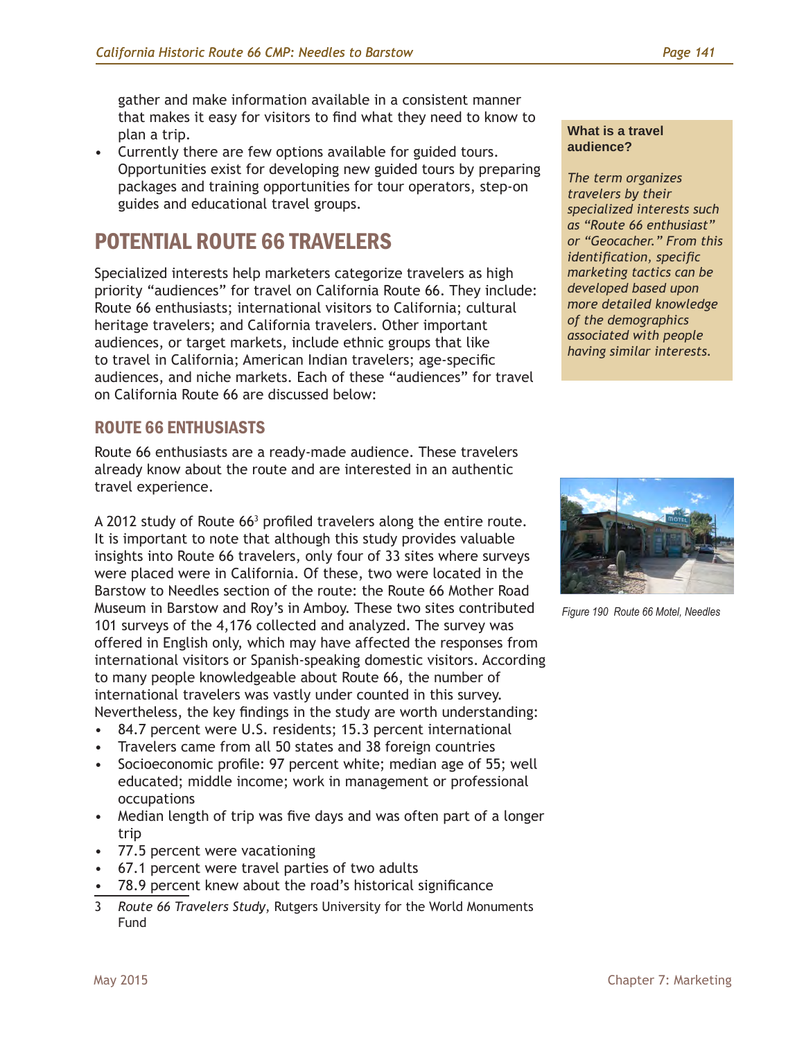gather and make information available in a consistent manner that makes it easy for visitors to find what they need to know to plan a trip.

• Currently there are few options available for guided tours. Opportunities exist for developing new guided tours by preparing packages and training opportunities for tour operators, step-on guides and educational travel groups.

# POTENTIAL ROUTE 66 TRAVELERS

Specialized interests help marketers categorize travelers as high priority "audiences" for travel on California Route 66. They include: Route 66 enthusiasts; international visitors to California; cultural heritage travelers; and California travelers. Other important audiences, or target markets, include ethnic groups that like to travel in California; American Indian travelers; age-specific audiences, and niche markets. Each of these "audiences" for travel on California Route 66 are discussed below:

## ROUTE 66 ENTHUSIASTS

Route 66 enthusiasts are a ready-made audience. These travelers already know about the route and are interested in an authentic travel experience.

A 2012 study of Route 66<sup>3</sup> profiled travelers along the entire route. It is important to note that although this study provides valuable insights into Route 66 travelers, only four of 33 sites where surveys were placed were in California. Of these, two were located in the Barstow to Needles section of the route: the Route 66 Mother Road Museum in Barstow and Roy's in Amboy. These two sites contributed 101 surveys of the 4,176 collected and analyzed. The survey was offered in English only, which may have affected the responses from international visitors or Spanish-speaking domestic visitors. According to many people knowledgeable about Route 66, the number of international travelers was vastly under counted in this survey. Nevertheless, the key findings in the study are worth understanding:

- 84.7 percent were U.S. residents; 15.3 percent international
- Travelers came from all 50 states and 38 foreign countries
- Socioeconomic profile: 97 percent white; median age of 55; well educated; middle income; work in management or professional occupations
- Median length of trip was five days and was often part of a longer trip
- 77.5 percent were vacationing
- 67.1 percent were travel parties of two adults
- 78.9 percent knew about the road's historical significance
- 3 *Route 66 Travelers Study*, Rutgers University for the World Monuments Fund

#### **What is a travel audience?**

*The term organizes travelers by their specialized interests such as "Route 66 enthusiast" or "Geocacher." From this identification, specific marketing tactics can be developed based upon more detailed knowledge of the demographics associated with people having similar interests.*



*Figure 190 Route 66 Motel, Needles*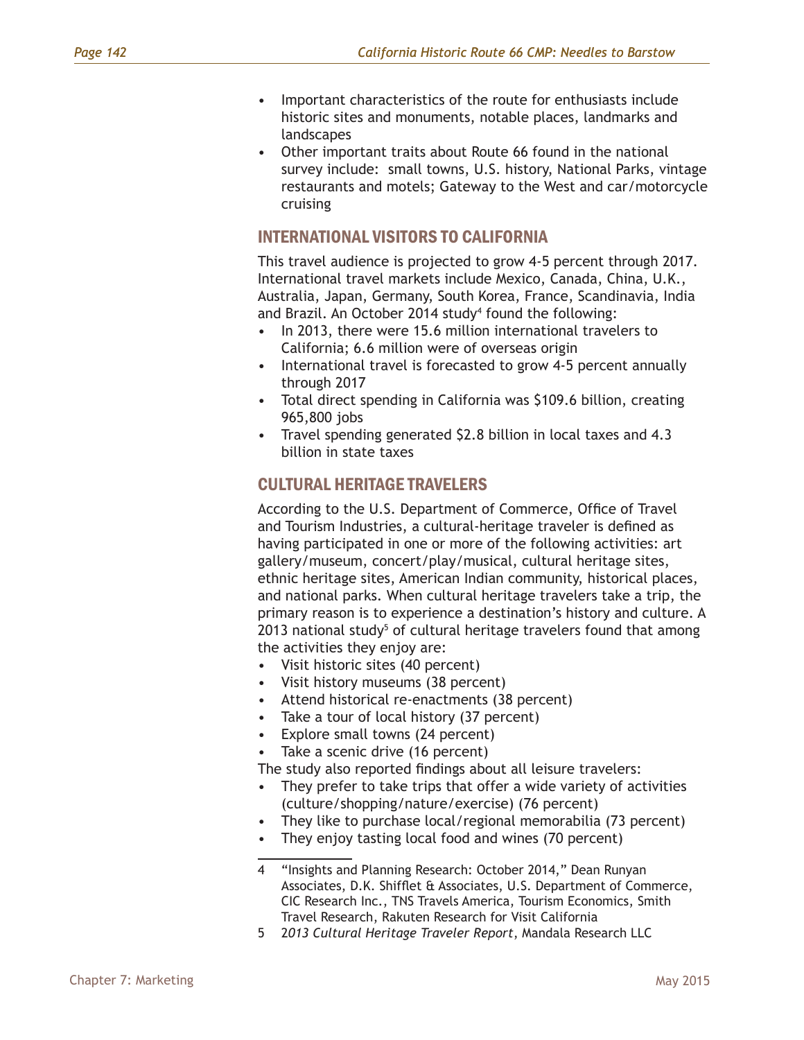- Important characteristics of the route for enthusiasts include historic sites and monuments, notable places, landmarks and landscapes
- Other important traits about Route 66 found in the national survey include: small towns, U.S. history, National Parks, vintage restaurants and motels; Gateway to the West and car/motorcycle cruising

#### INTERNATIONAL VISITORS TO CALIFORNIA

This travel audience is projected to grow 4-5 percent through 2017. International travel markets include Mexico, Canada, China, U.K., Australia, Japan, Germany, South Korea, France, Scandinavia, India and Brazil. An October 2014 study<sup>4</sup> found the following:

- In 2013, there were 15.6 million international travelers to California; 6.6 million were of overseas origin
- International travel is forecasted to grow 4-5 percent annually through 2017
- Total direct spending in California was \$109.6 billion, creating 965,800 jobs
- Travel spending generated \$2.8 billion in local taxes and 4.3 billion in state taxes

## CULTURAL HERITAGE TRAVELERS

According to the U.S. Department of Commerce, Office of Travel and Tourism Industries, a cultural-heritage traveler is defined as having participated in one or more of the following activities: art gallery/museum, concert/play/musical, cultural heritage sites, ethnic heritage sites, American Indian community, historical places, and national parks. When cultural heritage travelers take a trip, the primary reason is to experience a destination's history and culture. A 2013 national study<sup>5</sup> of cultural heritage travelers found that among the activities they enjoy are:

- Visit historic sites (40 percent)
- Visit history museums (38 percent)
- Attend historical re-enactments (38 percent)
- Take a tour of local history (37 percent)
- Explore small towns (24 percent)
- Take a scenic drive (16 percent)

The study also reported findings about all leisure travelers:

- They prefer to take trips that offer a wide variety of activities (culture/shopping/nature/exercise) (76 percent)
- They like to purchase local/regional memorabilia (73 percent)
- They enjoy tasting local food and wines (70 percent)

<sup>4</sup> "Insights and Planning Research: October 2014," Dean Runyan Associates, D.K. Shifflet & Associates, U.S. Department of Commerce, CIC Research Inc., TNS Travels America, Tourism Economics, Smith Travel Research, Rakuten Research for Visit California

<sup>5</sup> 2*013 Cultural Heritage Traveler Report*, Mandala Research LLC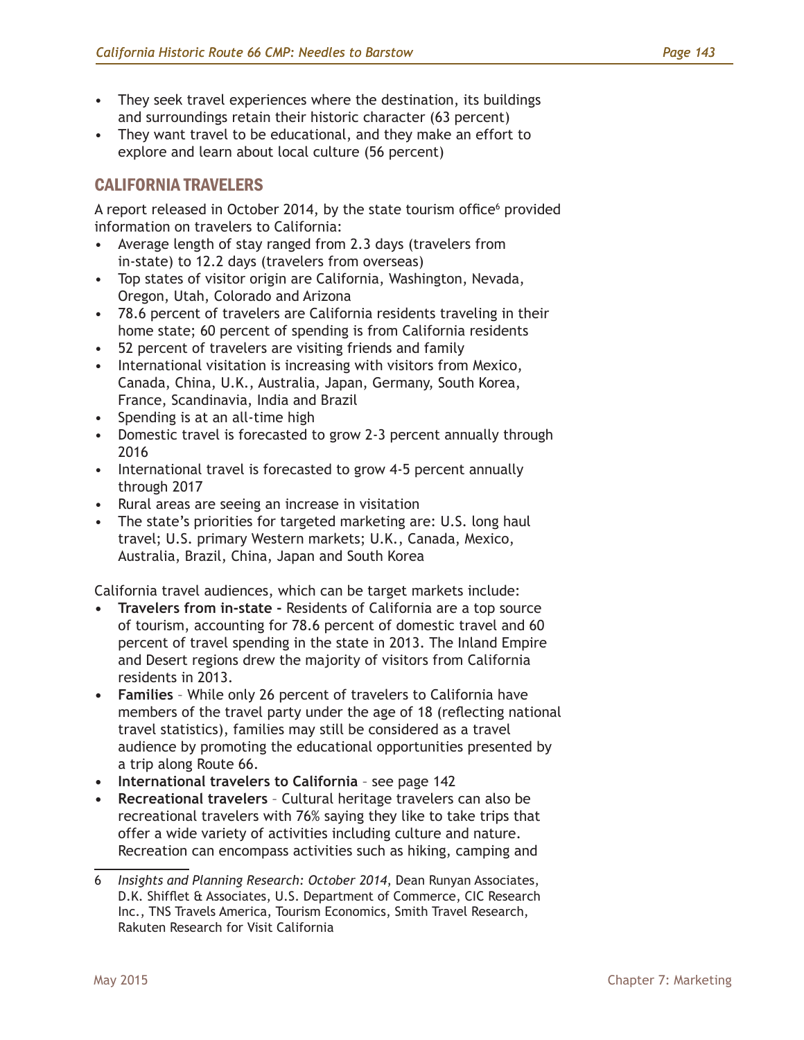- They seek travel experiences where the destination, its buildings and surroundings retain their historic character (63 percent)
- They want travel to be educational, and they make an effort to explore and learn about local culture (56 percent)

## CALIFORNIA TRAVELERS

A report released in October 2014, by the state tourism office<sup>6</sup> provided information on travelers to California:

- Average length of stay ranged from 2.3 days (travelers from in-state) to 12.2 days (travelers from overseas)
- Top states of visitor origin are California, Washington, Nevada, Oregon, Utah, Colorado and Arizona
- 78.6 percent of travelers are California residents traveling in their home state; 60 percent of spending is from California residents
- 52 percent of travelers are visiting friends and family
- International visitation is increasing with visitors from Mexico, Canada, China, U.K., Australia, Japan, Germany, South Korea, France, Scandinavia, India and Brazil
- Spending is at an all-time high
- Domestic travel is forecasted to grow 2-3 percent annually through 2016
- International travel is forecasted to grow 4-5 percent annually through 2017
- Rural areas are seeing an increase in visitation
- The state's priorities for targeted marketing are: U.S. long haul travel; U.S. primary Western markets; U.K., Canada, Mexico, Australia, Brazil, China, Japan and South Korea

California travel audiences, which can be target markets include:

- **• Travelers from in-state** Residents of California are a top source of tourism, accounting for 78.6 percent of domestic travel and 60 percent of travel spending in the state in 2013. The Inland Empire and Desert regions drew the majority of visitors from California residents in 2013.
- **• Families** While only 26 percent of travelers to California have members of the travel party under the age of 18 (reflecting national travel statistics), families may still be considered as a travel audience by promoting the educational opportunities presented by a trip along Route 66.
- **• International travelers to California** see page 142
- **• Recreational travelers** Cultural heritage travelers can also be recreational travelers with 76% saying they like to take trips that offer a wide variety of activities including culture and nature. Recreation can encompass activities such as hiking, camping and

<sup>6</sup> *Insights and Planning Research: October 2014*, Dean Runyan Associates, D.K. Shifflet & Associates, U.S. Department of Commerce, CIC Research Inc., TNS Travels America, Tourism Economics, Smith Travel Research, Rakuten Research for Visit California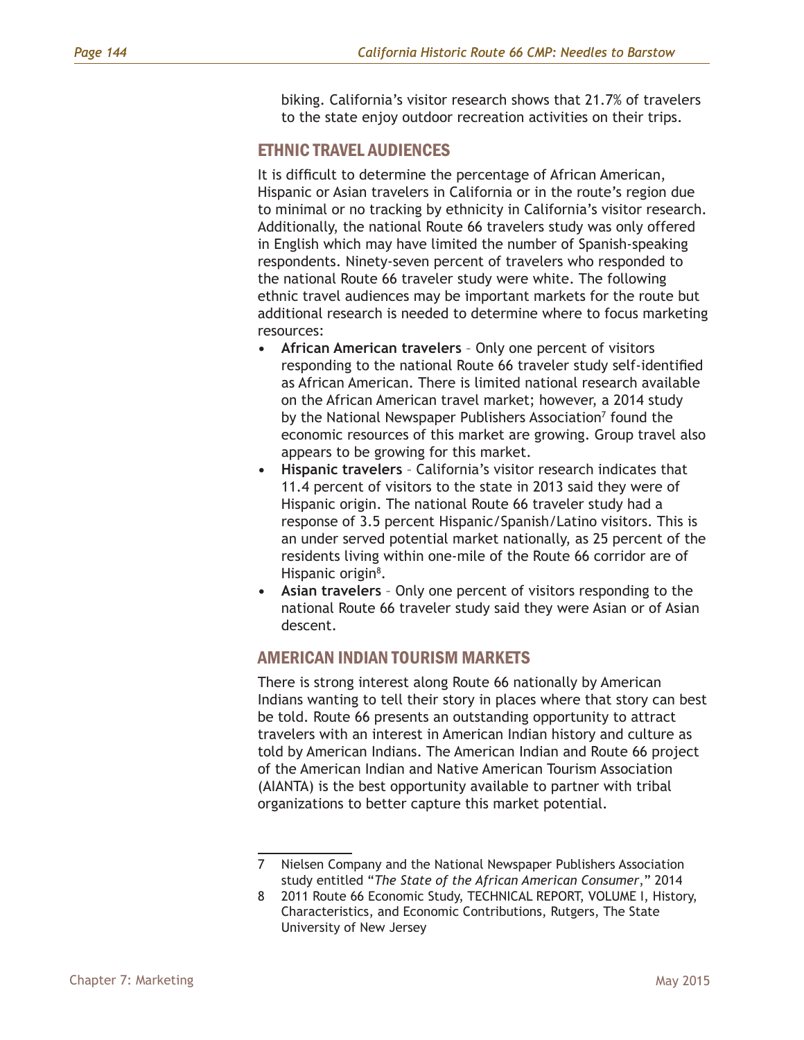biking. California's visitor research shows that 21.7% of travelers to the state enjoy outdoor recreation activities on their trips.

#### ETHNIC TRAVEL AUDIENCES

It is difficult to determine the percentage of African American, Hispanic or Asian travelers in California or in the route's region due to minimal or no tracking by ethnicity in California's visitor research. Additionally, the national Route 66 travelers study was only offered in English which may have limited the number of Spanish-speaking respondents. Ninety-seven percent of travelers who responded to the national Route 66 traveler study were white. The following ethnic travel audiences may be important markets for the route but additional research is needed to determine where to focus marketing resources:

- **• African American travelers** Only one percent of visitors responding to the national Route 66 traveler study self-identified as African American. There is limited national research available on the African American travel market; however, a 2014 study by the National Newspaper Publishers Association<sup>7</sup> found the economic resources of this market are growing. Group travel also appears to be growing for this market.
- **• Hispanic travelers** California's visitor research indicates that 11.4 percent of visitors to the state in 2013 said they were of Hispanic origin. The national Route 66 traveler study had a response of 3.5 percent Hispanic/Spanish/Latino visitors. This is an under served potential market nationally, as 25 percent of the residents living within one-mile of the Route 66 corridor are of Hispanic origin<sup>8</sup>.
- **• Asian travelers** Only one percent of visitors responding to the national Route 66 traveler study said they were Asian or of Asian descent.

#### AMERICAN INDIAN TOURISM MARKETS

There is strong interest along Route 66 nationally by American Indians wanting to tell their story in places where that story can best be told. Route 66 presents an outstanding opportunity to attract travelers with an interest in American Indian history and culture as told by American Indians. The American Indian and Route 66 project of the American Indian and Native American Tourism Association (AIANTA) is the best opportunity available to partner with tribal organizations to better capture this market potential.

<sup>7</sup> Nielsen Company and the National Newspaper Publishers Association study entitled "*The State of the African American Consumer*," 2014

<sup>8</sup> 2011 Route 66 Economic Study, TECHNICAL REPORT, VOLUME I, History, Characteristics, and Economic Contributions, Rutgers, The State University of New Jersey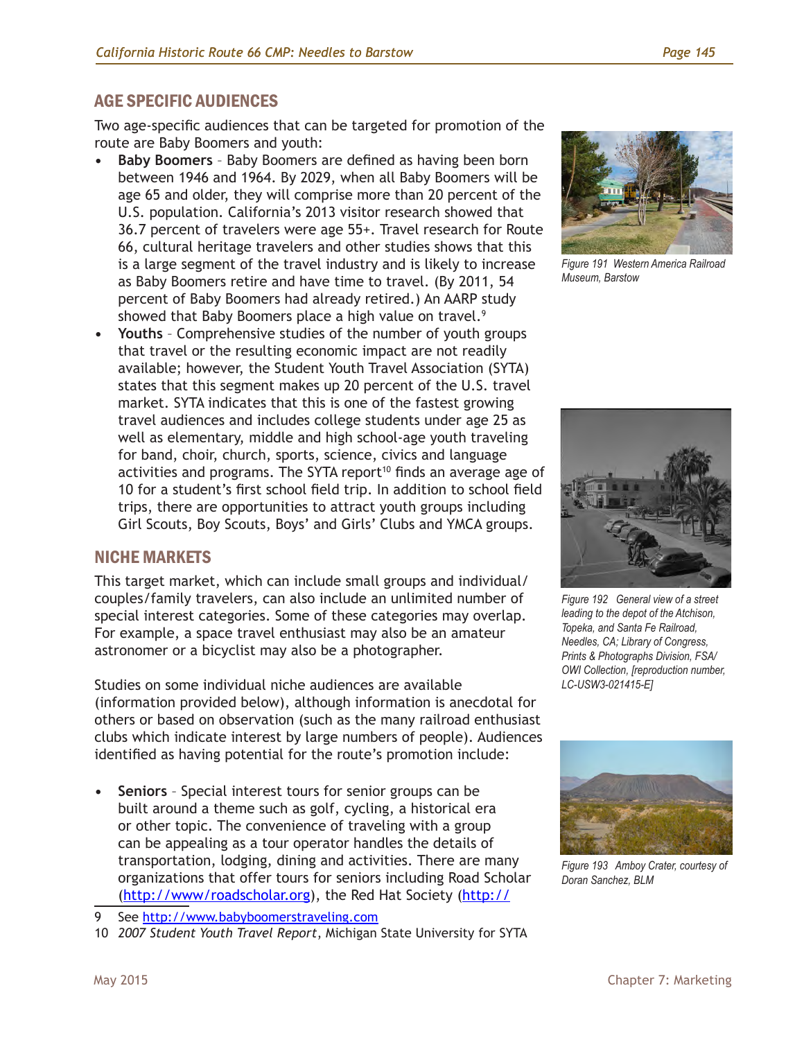## AGE SPECIFIC AUDIENCES

Two age-specific audiences that can be targeted for promotion of the route are Baby Boomers and youth:

- **• Baby Boomers** Baby Boomers are defined as having been born between 1946 and 1964. By 2029, when all Baby Boomers will be age 65 and older, they will comprise more than 20 percent of the U.S. population. California's 2013 visitor research showed that 36.7 percent of travelers were age 55+. Travel research for Route 66, cultural heritage travelers and other studies shows that this is a large segment of the travel industry and is likely to increase as Baby Boomers retire and have time to travel. (By 2011, 54 percent of Baby Boomers had already retired.) An AARP study showed that Baby Boomers place a high value on travel.<sup>9</sup>
- **• Youths** Comprehensive studies of the number of youth groups that travel or the resulting economic impact are not readily available; however, the Student Youth Travel Association (SYTA) states that this segment makes up 20 percent of the U.S. travel market. SYTA indicates that this is one of the fastest growing travel audiences and includes college students under age 25 as well as elementary, middle and high school-age youth traveling for band, choir, church, sports, science, civics and language activities and programs. The SYTA report<sup>10</sup> finds an average age of 10 for a student's first school field trip. In addition to school field trips, there are opportunities to attract youth groups including Girl Scouts, Boy Scouts, Boys' and Girls' Clubs and YMCA groups.

## NICHE MARKETS

This target market, which can include small groups and individual/ couples/family travelers, can also include an unlimited number of special interest categories. Some of these categories may overlap. For example, a space travel enthusiast may also be an amateur astronomer or a bicyclist may also be a photographer.

Studies on some individual niche audiences are available (information provided below), although information is anecdotal for others or based on observation (such as the many railroad enthusiast clubs which indicate interest by large numbers of people). Audiences identified as having potential for the route's promotion include:

**• Seniors** – Special interest tours for senior groups can be built around a theme such as golf, cycling, a historical era or other topic. The convenience of traveling with a group can be appealing as a tour operator handles the details of transportation, lodging, dining and activities. There are many organizations that offer tours for seniors including Road Scholar [\(http://www/roadscholar.org](http://www/roadscholar.org)), the Red Hat Society [\(http://](http://www.redhatsociety.com)



*Figure 191 Western America Railroad Museum, Barstow* 



*Figure 192 General view of a street leading to the depot of the Atchison, Topeka, and Santa Fe Railroad, Needles, CA; Library of Congress, Prints & Photographs Division, FSA/ OWI Collection, [reproduction number, LC-USW3-021415-E]*



*Figure 193 Amboy Crater, courtesy of Doran Sanchez, BLM*

<sup>9</sup> See <http://www.babyboomerstraveling.com>

<sup>10</sup> *2007 Student Youth Travel Report*, Michigan State University for SYTA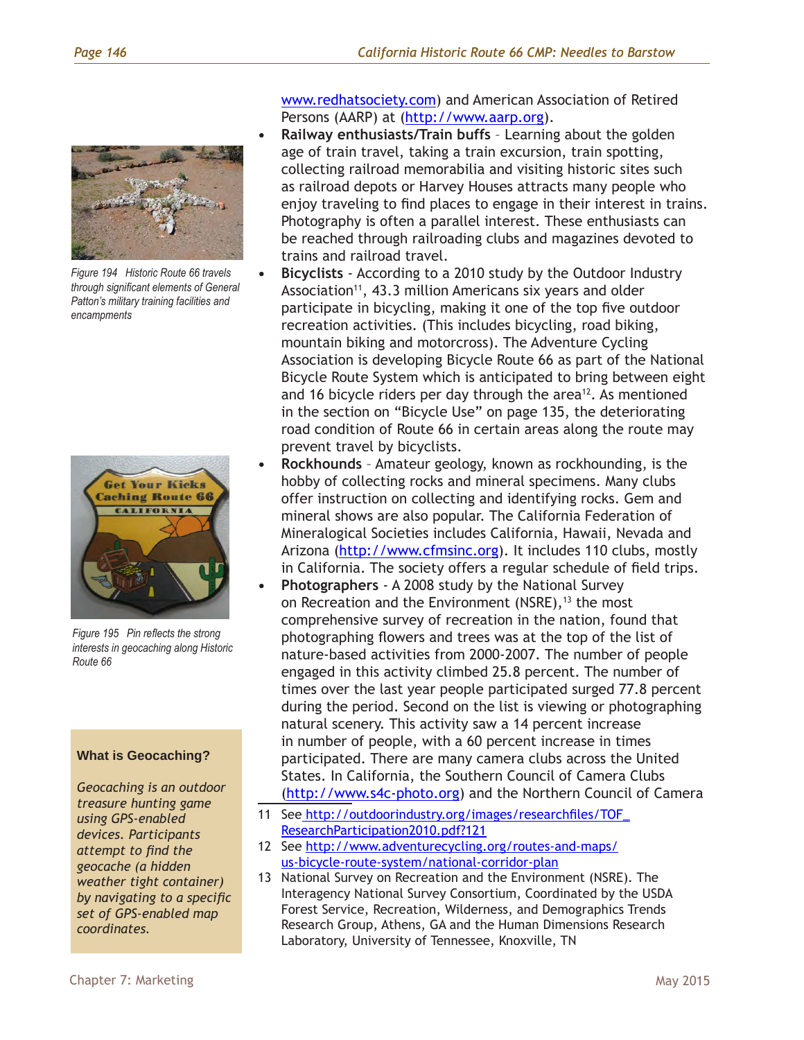

*Figure 194 Historic Route 66 travels through significant elements of General Patton's military training facilities and encampments*



*Figure 195 Pin reflects the strong interests in geocaching along Historic Route 66*

#### **What is Geocaching?**

*Geocaching is an outdoor treasure hunting game using GPS-enabled devices. Participants attempt to find the geocache (a hidden weather tight container) by navigating to a specific set of GPS-enabled map coordinates.*

[www.redhatsociety.com](http://www.redhatsociety.com)) and American Association of Retired Persons (AARP) at (<http://www.aarp.org>).

- **• Railway enthusiasts/Train buffs** Learning about the golden age of train travel, taking a train excursion, train spotting, collecting railroad memorabilia and visiting historic sites such as railroad depots or Harvey Houses attracts many people who enjoy traveling to find places to engage in their interest in trains. Photography is often a parallel interest. These enthusiasts can be reached through railroading clubs and magazines devoted to trains and railroad travel.
- **• Bicyclists**  According to a 2010 study by the Outdoor Industry Association<sup>11</sup>, 43.3 million Americans six years and older participate in bicycling, making it one of the top five outdoor recreation activities. (This includes bicycling, road biking, mountain biking and motorcross). The Adventure Cycling Association is developing Bicycle Route 66 as part of the National Bicycle Route System which is anticipated to bring between eight and 16 bicycle riders per day through the area $12$ . As mentioned in the section on "Bicycle Use" on page 135, the deteriorating road condition of Route 66 in certain areas along the route may prevent travel by bicyclists.
- **• Rockhounds** Amateur geology, known as rockhounding, is the hobby of collecting rocks and mineral specimens. Many clubs offer instruction on collecting and identifying rocks. Gem and mineral shows are also popular. The California Federation of Mineralogical Societies includes California, Hawaii, Nevada and Arizona [\(http://www.cfmsinc.org\)](http://www.cfmsinc.org). It includes 110 clubs, mostly in California. The society offers a regular schedule of field trips.
- **• Photographers** A 2008 study by the National Survey on Recreation and the Environment (NSRE),<sup>13</sup> the most comprehensive survey of recreation in the nation, found that photographing flowers and trees was at the top of the list of nature-based activities from 2000-2007. The number of people engaged in this activity climbed 25.8 percent. The number of times over the last year people participated surged 77.8 percent during the period. Second on the list is viewing or photographing natural scenery. This activity saw a 14 percent increase in number of people, with a 60 percent increase in times participated. There are many camera clubs across the United States. In California, the Southern Council of Camera Clubs [\(http://www.s4c-photo.org\)](http://www.s4c-photo.org) and the Northern Council of Camera
- 11 See [http://outdoorindustry.org/images/researchfiles/TOF\\_](http://outdoorindustry.org/images/researchfiles/TOF_ResearchParticipation2010.pdf?121) [ResearchParticipation2010.pdf?121](http://outdoorindustry.org/images/researchfiles/TOF_ResearchParticipation2010.pdf?121)
- 12 See [http://www.adventurecycling.org/routes-and-maps/](http://outdoorindustry.org/images/researchfiles/TOF_ResearchParticipation2010.pdf?121) [us-bicycle-route-system/national-corridor-plan](http://outdoorindustry.org/images/researchfiles/TOF_ResearchParticipation2010.pdf?121)
- 13 National Survey on Recreation and the Environment (NSRE). The Interagency National Survey Consortium, Coordinated by the USDA Forest Service, Recreation, Wilderness, and Demographics Trends Research Group, Athens, GA and the Human Dimensions Research Laboratory, University of Tennessee, Knoxville, TN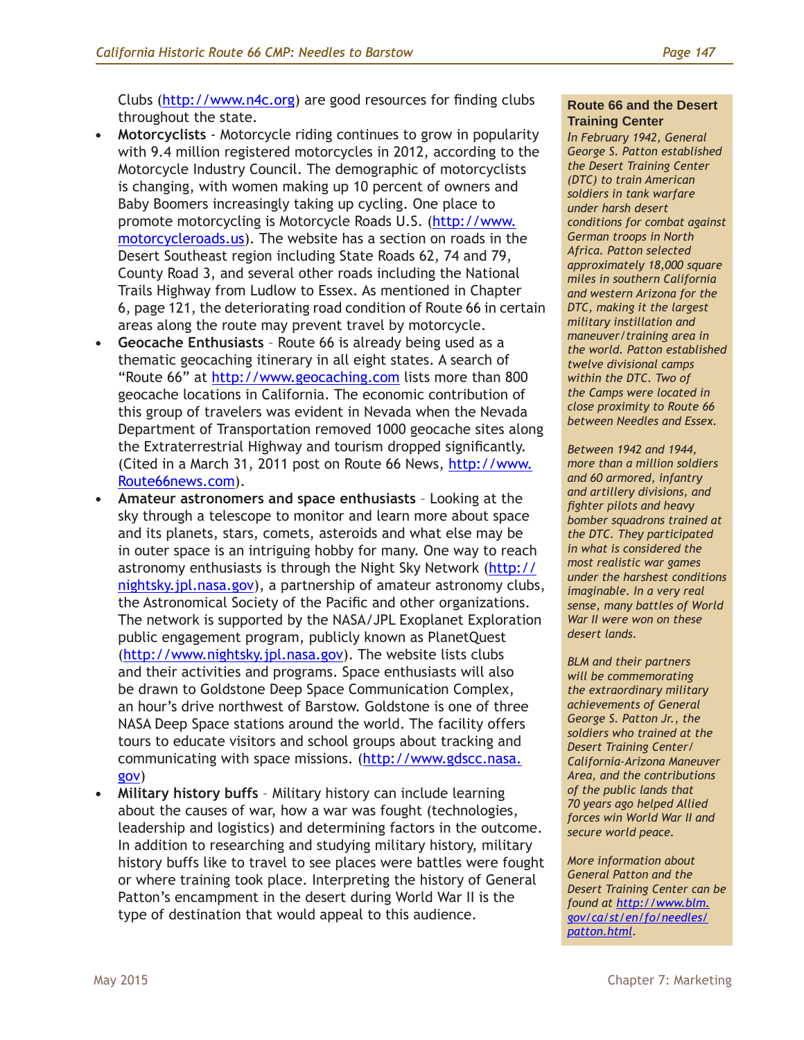Clubs ([http://www.n4c.org\)](http://www.n4c-photo.org) are good resources for finding clubs throughout the state.

- **• Motorcyclists** Motorcycle riding continues to grow in popularity with 9.4 million registered motorcycles in 2012, according to the Motorcycle Industry Council. The demographic of motorcyclists is changing, with women making up 10 percent of owners and Baby Boomers increasingly taking up cycling. One place to promote motorcycling is Motorcycle Roads U.S. ([http://www.](http://www.motorcycleroads.us) [motorcycleroads.us](http://www.motorcycleroads.us)). The website has a section on roads in the Desert Southeast region including State Roads 62, 74 and 79, County Road 3, and several other roads including the National Trails Highway from Ludlow to Essex. As mentioned in Chapter 6, page 121, the deteriorating road condition of Route 66 in certain areas along the route may prevent travel by motorcycle.
- **• Geocache Enthusiasts** Route 66 is already being used as a thematic geocaching itinerary in all eight states. A search of "Route 66" at<http://www.geocaching.com>lists more than 800 geocache locations in California. The economic contribution of this group of travelers was evident in Nevada when the Nevada Department of Transportation removed 1000 geocache sites along the Extraterrestrial Highway and tourism dropped significantly. (Cited in a March 31, 2011 post on Route 66 News, [http://www.](http://www.geocaching.com) [Route66news.com\)](http://www.geocaching.com).
- **• Amateur astronomers and space enthusiasts** Looking at the sky through a telescope to monitor and learn more about space and its planets, stars, comets, asteroids and what else may be in outer space is an intriguing hobby for many. One way to reach astronomy enthusiasts is through the Night Sky Network [\(http://](http://nightsky.jpl.nasa.gov) [nightsky.jpl.nasa.gov](http://nightsky.jpl.nasa.gov)), a partnership of amateur astronomy clubs, the Astronomical Society of the Pacific and other organizations. The network is supported by the NASA/JPL Exoplanet Exploration public engagement program, publicly known as PlanetQuest [\(http://www.nightsky.jpl.nasa.gov](http://www.nightsky.jpl.nasa.gov)). The website lists clubs and their activities and programs. Space enthusiasts will also be drawn to Goldstone Deep Space Communication Complex, an hour's drive northwest of Barstow. Goldstone is one of three NASA Deep Space stations around the world. The facility offers tours to educate visitors and school groups about tracking and communicating with space missions. ([http://www.gdscc.nasa.](http://www.gdscc.nasa.gov) [gov\)](http://www.gdscc.nasa.gov)
- **• Military history buffs** Military history can include learning about the causes of war, how a war was fought (technologies, leadership and logistics) and determining factors in the outcome. In addition to researching and studying military history, military history buffs like to travel to see places were battles were fought or where training took place. Interpreting the history of General Patton's encampment in the desert during World War II is the type of destination that would appeal to this audience.

#### **Route 66 and the Desert Training Center**

*In February 1942, General George S. Patton established the Desert Training Center (DTC) to train American soldiers in tank warfare under harsh desert conditions for combat against German troops in North Africa. Patton selected approximately 18,000 square miles in southern California and western Arizona for the DTC, making it the largest military instillation and maneuver/training area in the world. Patton established twelve divisional camps within the DTC. Two of the Camps were located in close proximity to Route 66 between Needles and Essex.*

*Between 1942 and 1944, more than a million soldiers and 60 armored, infantry and artillery divisions, and fighter pilots and heavy bomber squadrons trained at the DTC. They participated in what is considered the most realistic war games under the harshest conditions imaginable. In a very real sense, many battles of World War II were won on these desert lands.* 

*BLM and their partners will be commemorating the extraordinary military achievements of General George S. Patton Jr., the soldiers who trained at the Desert Training Center/ California-Arizona Maneuver Area, and the contributions of the public lands that 70 years ago helped Allied forces win World War II and secure world peace.*

*More information about General Patton and the Desert Training Center can be found at [http://www.blm.](http://www.blm.gov/ca/st/en/fo/needles/patton.html) [gov/ca/st/en/fo/needles/](http://www.blm.gov/ca/st/en/fo/needles/patton.html) [patton.html.](http://www.blm.gov/ca/st/en/fo/needles/patton.html)*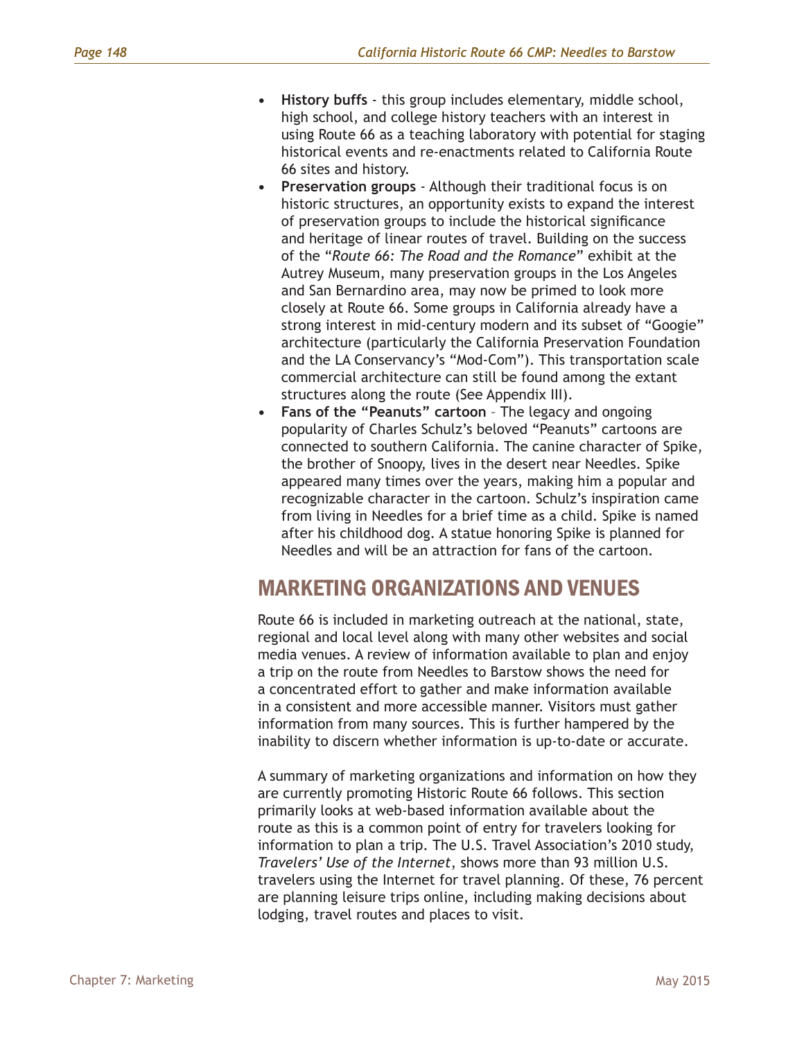- **• History buffs** this group includes elementary, middle school, high school, and college history teachers with an interest in using Route 66 as a teaching laboratory with potential for staging historical events and re-enactments related to California Route 66 sites and history.
- **• Preservation groups** Although their traditional focus is on historic structures, an opportunity exists to expand the interest of preservation groups to include the historical significance and heritage of linear routes of travel. Building on the success of the "*Route 66: The Road and the Romance*" exhibit at the Autrey Museum, many preservation groups in the Los Angeles and San Bernardino area, may now be primed to look more closely at Route 66. Some groups in California already have a strong interest in mid-century modern and its subset of "Googie" architecture (particularly the California Preservation Foundation and the LA Conservancy's "Mod-Com"). This transportation scale commercial architecture can still be found among the extant structures along the route (See Appendix III).
- **• Fans of the "Peanuts" cartoon** The legacy and ongoing popularity of Charles Schulz's beloved "Peanuts" cartoons are connected to southern California. The canine character of Spike, the brother of Snoopy, lives in the desert near Needles. Spike appeared many times over the years, making him a popular and recognizable character in the cartoon. Schulz's inspiration came from living in Needles for a brief time as a child. Spike is named after his childhood dog. A statue honoring Spike is planned for Needles and will be an attraction for fans of the cartoon.

## MARKETING ORGANIZATIONS AND VENUES

Route 66 is included in marketing outreach at the national, state, regional and local level along with many other websites and social media venues. A review of information available to plan and enjoy a trip on the route from Needles to Barstow shows the need for a concentrated effort to gather and make information available in a consistent and more accessible manner. Visitors must gather information from many sources. This is further hampered by the inability to discern whether information is up-to-date or accurate.

A summary of marketing organizations and information on how they are currently promoting Historic Route 66 follows. This section primarily looks at web-based information available about the route as this is a common point of entry for travelers looking for information to plan a trip. The U.S. Travel Association's 2010 study, *Travelers' Use of the Internet*, shows more than 93 million U.S. travelers using the Internet for travel planning. Of these, 76 percent are planning leisure trips online, including making decisions about lodging, travel routes and places to visit.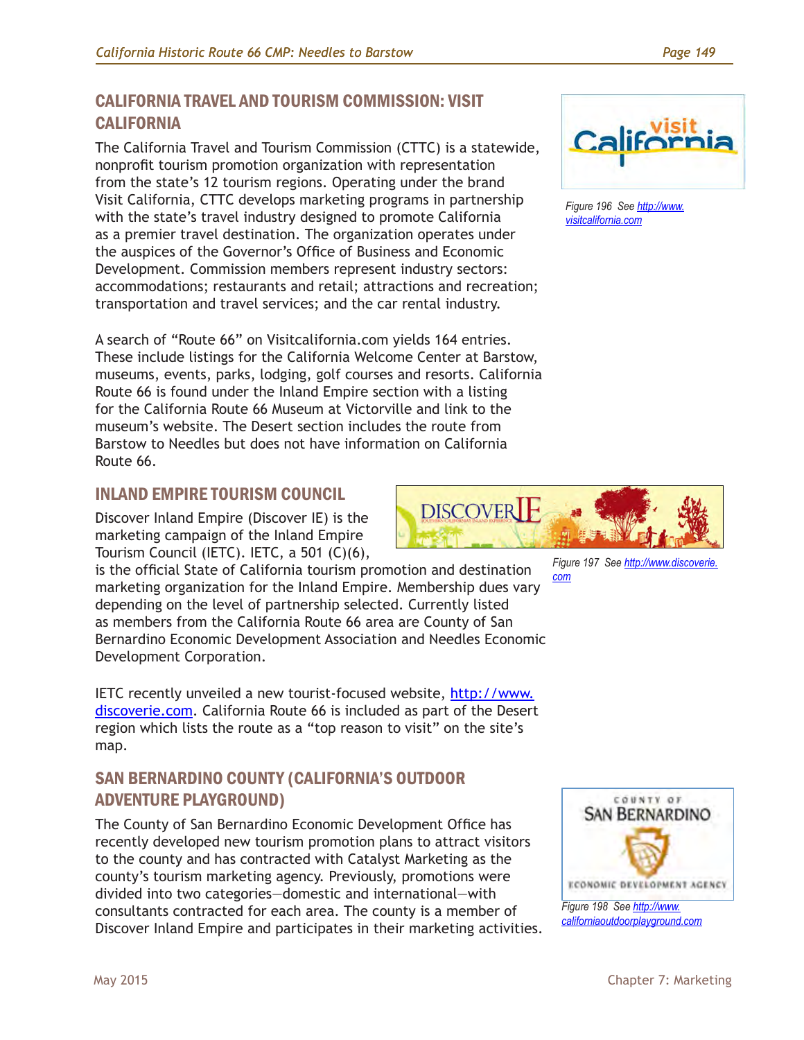## CALIFORNIA TRAVEL AND TOURISM COMMISSION: VISIT **CALIFORNIA**

The California Travel and Tourism Commission (CTTC) is a statewide, nonprofit tourism promotion organization with representation from the state's 12 tourism regions. Operating under the brand Visit California, CTTC develops marketing programs in partnership with the state's travel industry designed to promote California as a premier travel destination. The organization operates under the auspices of the Governor's Office of Business and Economic Development. Commission members represent industry sectors: accommodations; restaurants and retail; attractions and recreation; transportation and travel services; and the car rental industry.

A search of "Route 66" on Visitcalifornia.com yields 164 entries. These include listings for the California Welcome Center at Barstow, museums, events, parks, lodging, golf courses and resorts. California Route 66 is found under the Inland Empire section with a listing for the California Route 66 Museum at Victorville and link to the museum's website. The Desert section includes the route from Barstow to Needles but does not have information on California Route 66.

## INLAND EMPIRE TOURISM COUNCIL

Discover Inland Empire (Discover IE) is the marketing campaign of the Inland Empire Tourism Council (IETC). IETC, a 501 (C)(6),

is the official State of California tourism promotion and destination marketing organization for the Inland Empire. Membership dues vary depending on the level of partnership selected. Currently listed as members from the California Route 66 area are County of San Bernardino Economic Development Association and Needles Economic Development Corporation.

IETC recently unveiled a new tourist-focused website, [http://www.](http://www.discoverie.com) [discoverie.com.](http://www.discoverie.com) California Route 66 is included as part of the Desert region which lists the route as a "top reason to visit" on the site's map.

## SAN BERNARDINO COUNTY (CALIFORNIA'S OUTDOOR ADVENTURE PLAYGROUND)

The County of San Bernardino Economic Development Office has recently developed new tourism promotion plans to attract visitors to the county and has contracted with Catalyst Marketing as the county's tourism marketing agency. Previously, promotions were divided into two categories—domestic and international—with consultants contracted for each area. The county is a member of Discover Inland Empire and participates in their marketing activities.



*Figure 196 See [http://www.](http://www.visitcalifornia.com) [visitcalifornia.com](http://www.visitcalifornia.com)*



*Figure 197 See [http://www.discoverie.](http://www.discoverie.com) [com](http://www.discoverie.com)*

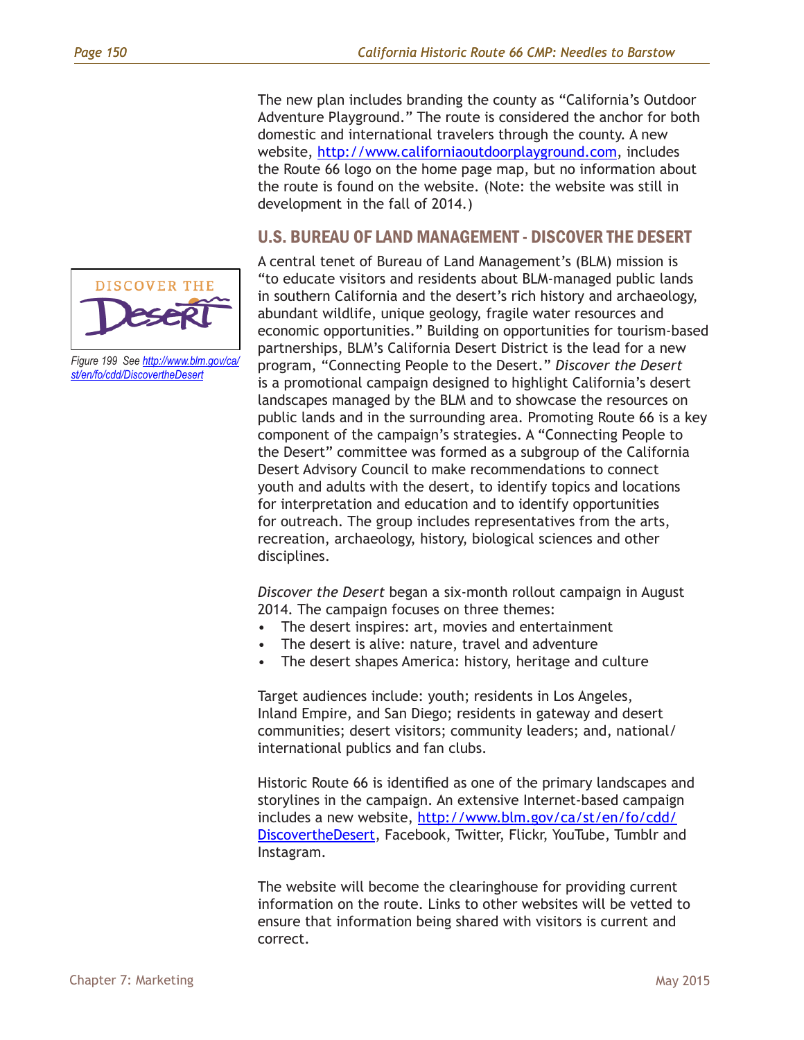The new plan includes branding the county as "California's Outdoor Adventure Playground." The route is considered the anchor for both domestic and international travelers through the county. A new website, [http://www.californiaoutdoorplayground.com,](http://www.californiaoutdoorplayground.com) includes the Route 66 logo on the home page map, but no information about the route is found on the website. (Note: the website was still in development in the fall of 2014.)

#### U.S. BUREAU OF LAND MANAGEMENT - DISCOVER THE DESERT

A central tenet of Bureau of Land Management's (BLM) mission is "to educate visitors and residents about BLM-managed public lands in southern California and the desert's rich history and archaeology, abundant wildlife, unique geology, fragile water resources and economic opportunities." Building on opportunities for tourism-based partnerships, BLM's California Desert District is the lead for a new program, "Connecting People to the Desert." *Discover the Desert* is a promotional campaign designed to highlight California's desert landscapes managed by the BLM and to showcase the resources on public lands and in the surrounding area. Promoting Route 66 is a key component of the campaign's strategies. A "Connecting People to the Desert" committee was formed as a subgroup of the California Desert Advisory Council to make recommendations to connect youth and adults with the desert, to identify topics and locations for interpretation and education and to identify opportunities for outreach. The group includes representatives from the arts, recreation, archaeology, history, biological sciences and other disciplines.

*Discover the Desert* began a six-month rollout campaign in August 2014. The campaign focuses on three themes:

- The desert inspires: art, movies and entertainment
- The desert is alive: nature, travel and adventure
- The desert shapes America: history, heritage and culture

Target audiences include: youth; residents in Los Angeles, Inland Empire, and San Diego; residents in gateway and desert communities; desert visitors; community leaders; and, national/ international publics and fan clubs.

Historic Route 66 is identified as one of the primary landscapes and storylines in the campaign. An extensive Internet-based campaign includes a new website, [http://www.blm.gov/ca/st/en/fo/cdd/](http://www.blm.gov/ca/st/en/fo/cdd/DiscovertheDesert) [DiscovertheDesert,](http://www.blm.gov/ca/st/en/fo/cdd/DiscovertheDesert) Facebook, Twitter, Flickr, YouTube, Tumblr and Instagram.

The website will become the clearinghouse for providing current information on the route. Links to other websites will be vetted to ensure that information being shared with visitors is current and correct.



*Figure 199 See [http://www.blm.gov/ca/](http://www.blm.gov/ca/st/en/fo/cdd/DiscovertheDesert) [st/en/fo/cdd/DiscovertheDesert](http://www.blm.gov/ca/st/en/fo/cdd/DiscovertheDesert)*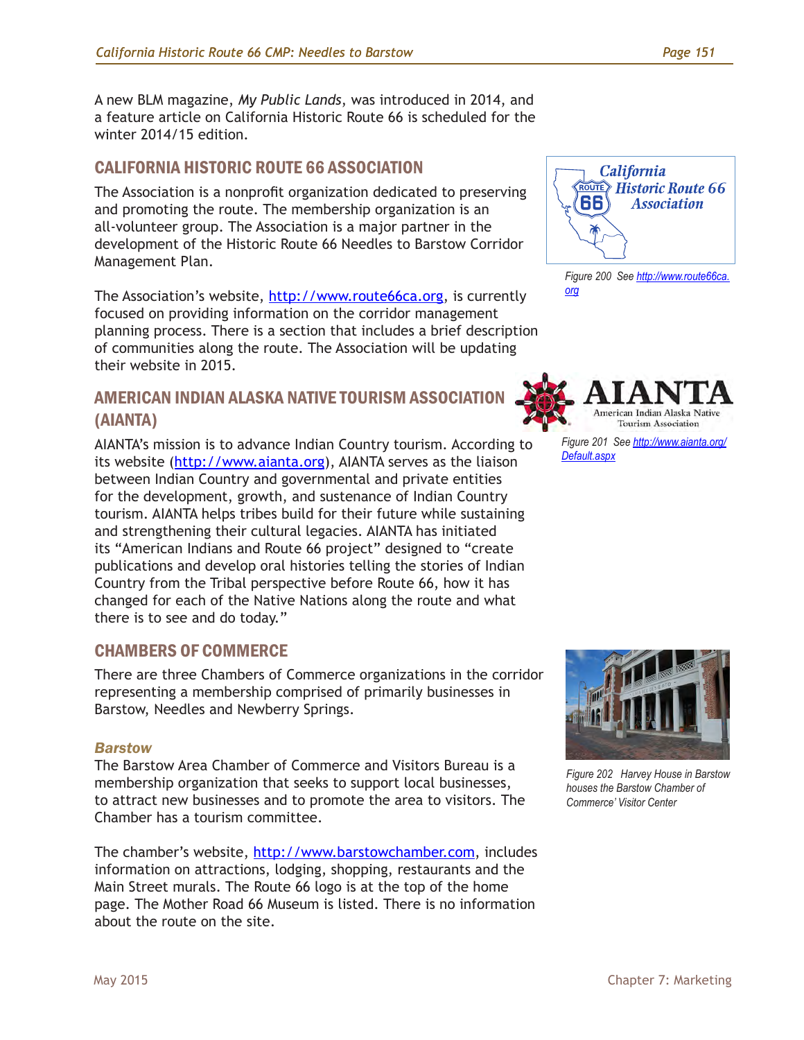A new BLM magazine, *My Public Lands*, was introduced in 2014, and a feature article on California Historic Route 66 is scheduled for the winter 2014/15 edition.

## CALIFORNIA HISTORIC ROUTE 66 ASSOCIATION

The Association is a nonprofit organization dedicated to preserving and promoting the route. The membership organization is an all-volunteer group. The Association is a major partner in the development of the Historic Route 66 Needles to Barstow Corridor Management Plan.

The Association's website, [http://www.route66ca.org,](http://www.route66ca.org) is currently focused on providing information on the corridor management planning process. There is a section that includes a brief description of communities along the route. The Association will be updating their website in 2015.

## AMERICAN INDIAN ALASKA NATIVE TOURISM ASSOCIATION (AIANTA)

AIANTA's mission is to advance Indian Country tourism. According to its website (<http://www.aianta.org>), AIANTA serves as the liaison between Indian Country and governmental and private entities for the development, growth, and sustenance of Indian Country tourism. AIANTA helps tribes build for their future while sustaining and strengthening their cultural legacies. AIANTA has initiated its "American Indians and Route 66 project" designed to "create publications and develop oral histories telling the stories of Indian Country from the Tribal perspective before Route 66, how it has changed for each of the Native Nations along the route and what there is to see and do today."

## CHAMBERS OF COMMERCE

There are three Chambers of Commerce organizations in the corridor representing a membership comprised of primarily businesses in Barstow, Needles and Newberry Springs.

#### *Barstow*

The Barstow Area Chamber of Commerce and Visitors Bureau is a membership organization that seeks to support local businesses, to attract new businesses and to promote the area to visitors. The Chamber has a tourism committee.

The chamber's website, [http://www.barstowchamber.com,](http://www.barstowchamber.com) includes information on attractions, lodging, shopping, restaurants and the Main Street murals. The Route 66 logo is at the top of the home page. The Mother Road 66 Museum is listed. There is no information about the route on the site.



*Figure 200 See [http://www.route66ca.](http://www.route66ca.org) [org](http://www.route66ca.org)*



*Figure 201 See [http://www.aianta.org/](http://www.aianta.org/Default.aspx) [Default.aspx](http://www.aianta.org/Default.aspx)*



*Figure 202 Harvey House in Barstow houses the Barstow Chamber of Commerce' Visitor Center*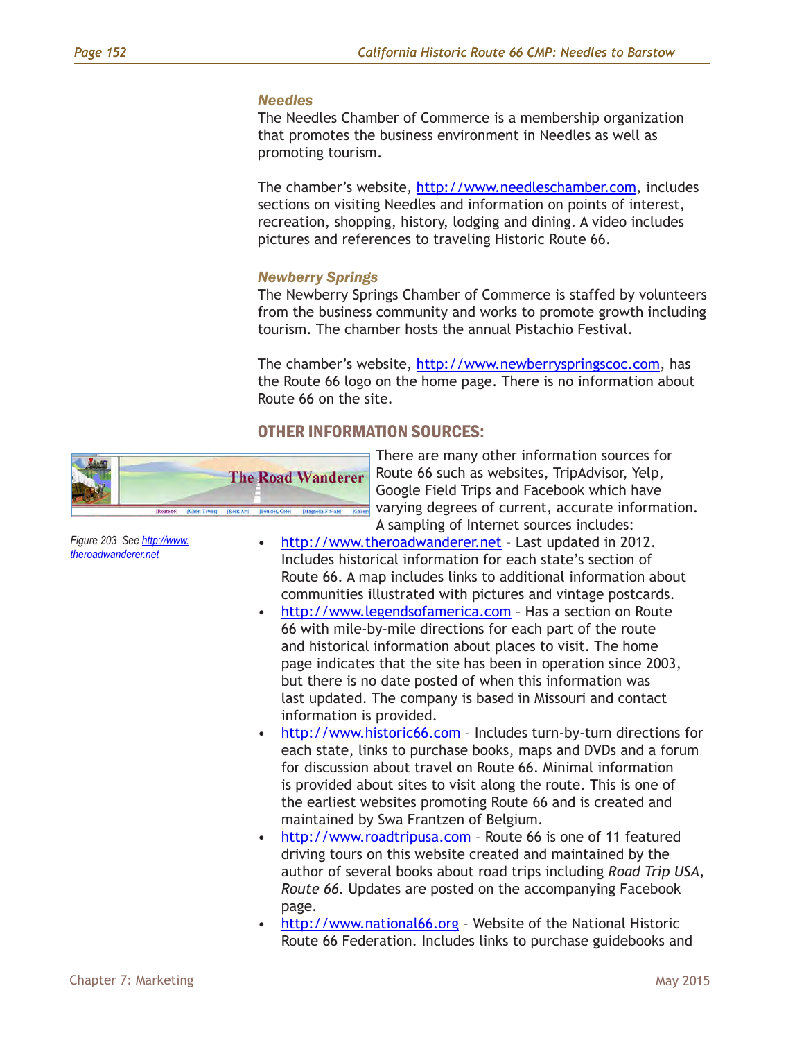#### *Needles*

The Needles Chamber of Commerce is a membership organization that promotes the business environment in Needles as well as promoting tourism.

The chamber's website, [http://www.needleschamber.com,](http://www.needleschamber.com) includes sections on visiting Needles and information on points of interest, recreation, shopping, history, lodging and dining. A video includes pictures and references to traveling Historic Route 66.

#### *Newberry Springs*

The Newberry Springs Chamber of Commerce is staffed by volunteers from the business community and works to promote growth including tourism. The chamber hosts the annual Pistachio Festival.

The chamber's website, [http://www.newberryspringscoc.com,](http://www.newberryspringscoc.com) has the Route 66 logo on the home page. There is no information about Route 66 on the site.

#### OTHER INFORMATION SOURCES:



There are many other information sources for Route 66 such as websites, TripAdvisor, Yelp, Google Field Trips and Facebook which have varying degrees of current, accurate information. A sampling of Internet sources includes:

- [http://www.theroadwanderer.net](http://www.roadwanderer.net) Last updated in 2012. Includes historical information for each state's section of Route 66. A map includes links to additional information about communities illustrated with pictures and vintage postcards.
- <http://www.legendsofamerica.com> Has a section on Route 66 with mile-by-mile directions for each part of the route and historical information about places to visit. The home page indicates that the site has been in operation since 2003, but there is no date posted of when this information was last updated. The company is based in Missouri and contact information is provided.
- [http://www.historic66.com](http://www.historicroute66.com)  Includes turn-by-turn directions for each state, links to purchase books, maps and DVDs and a forum for discussion about travel on Route 66. Minimal information is provided about sites to visit along the route. This is one of the earliest websites promoting Route 66 and is created and maintained by Swa Frantzen of Belgium.
- [http://www.roadtripusa.com](http://www.roadtripusa.org)  Route 66 is one of 11 featured driving tours on this website created and maintained by the author of several books about road trips including *Road Trip USA, Route 66.* Updates are posted on the accompanying Facebook page.
- <http://www.national66.org> Website of the National Historic Route 66 Federation. Includes links to purchase guidebooks and

*Figure 203 See [http://www.](http://www.theroadwanderer.net) [theroadwanderer.net](http://www.theroadwanderer.net)*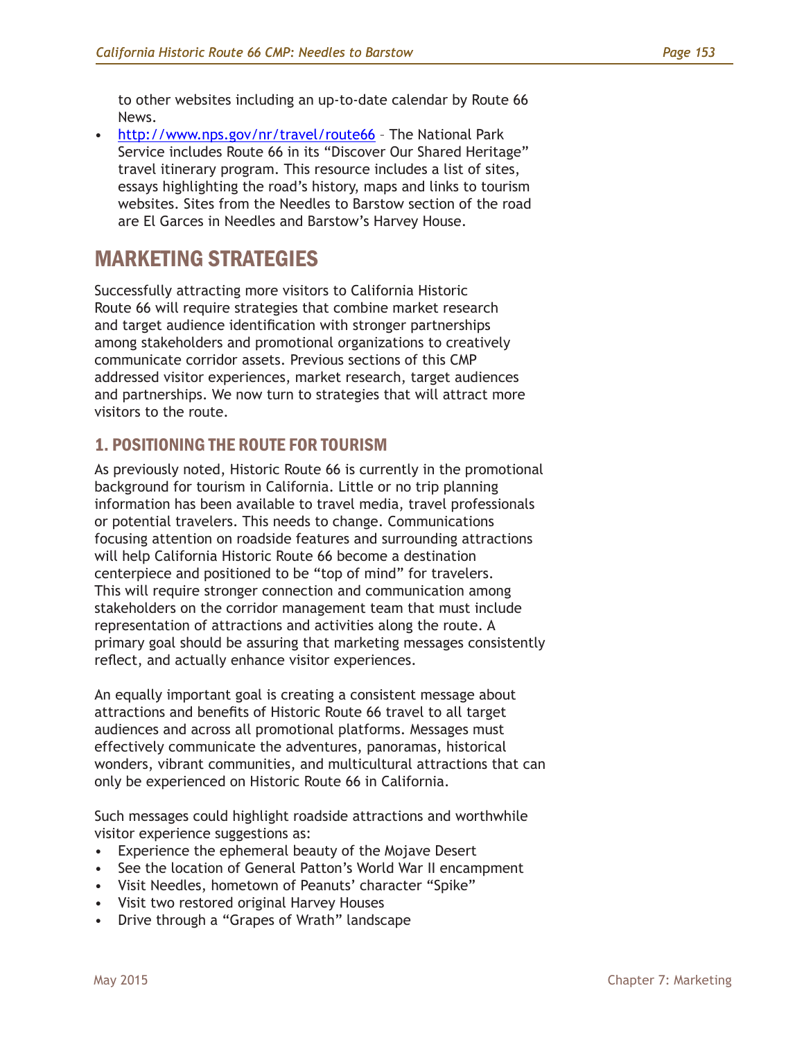to other websites including an up-to-date calendar by Route 66 News.

• <http://www.nps.gov/nr/travel/route66> – The National Park Service includes Route 66 in its "Discover Our Shared Heritage" travel itinerary program. This resource includes a list of sites, essays highlighting the road's history, maps and links to tourism websites. Sites from the Needles to Barstow section of the road are El Garces in Needles and Barstow's Harvey House.

# MARKETING STRATEGIES

Successfully attracting more visitors to California Historic Route 66 will require strategies that combine market research and target audience identification with stronger partnerships among stakeholders and promotional organizations to creatively communicate corridor assets. Previous sections of this CMP addressed visitor experiences, market research, target audiences and partnerships. We now turn to strategies that will attract more visitors to the route.

## 1. POSITIONING THE ROUTE FOR TOURISM

As previously noted, Historic Route 66 is currently in the promotional background for tourism in California. Little or no trip planning information has been available to travel media, travel professionals or potential travelers. This needs to change. Communications focusing attention on roadside features and surrounding attractions will help California Historic Route 66 become a destination centerpiece and positioned to be "top of mind" for travelers. This will require stronger connection and communication among stakeholders on the corridor management team that must include representation of attractions and activities along the route. A primary goal should be assuring that marketing messages consistently reflect, and actually enhance visitor experiences.

An equally important goal is creating a consistent message about attractions and benefits of Historic Route 66 travel to all target audiences and across all promotional platforms. Messages must effectively communicate the adventures, panoramas, historical wonders, vibrant communities, and multicultural attractions that can only be experienced on Historic Route 66 in California.

Such messages could highlight roadside attractions and worthwhile visitor experience suggestions as:

- Experience the ephemeral beauty of the Mojave Desert
- See the location of General Patton's World War II encampment
- Visit Needles, hometown of Peanuts' character "Spike"
- Visit two restored original Harvey Houses
- Drive through a "Grapes of Wrath" landscape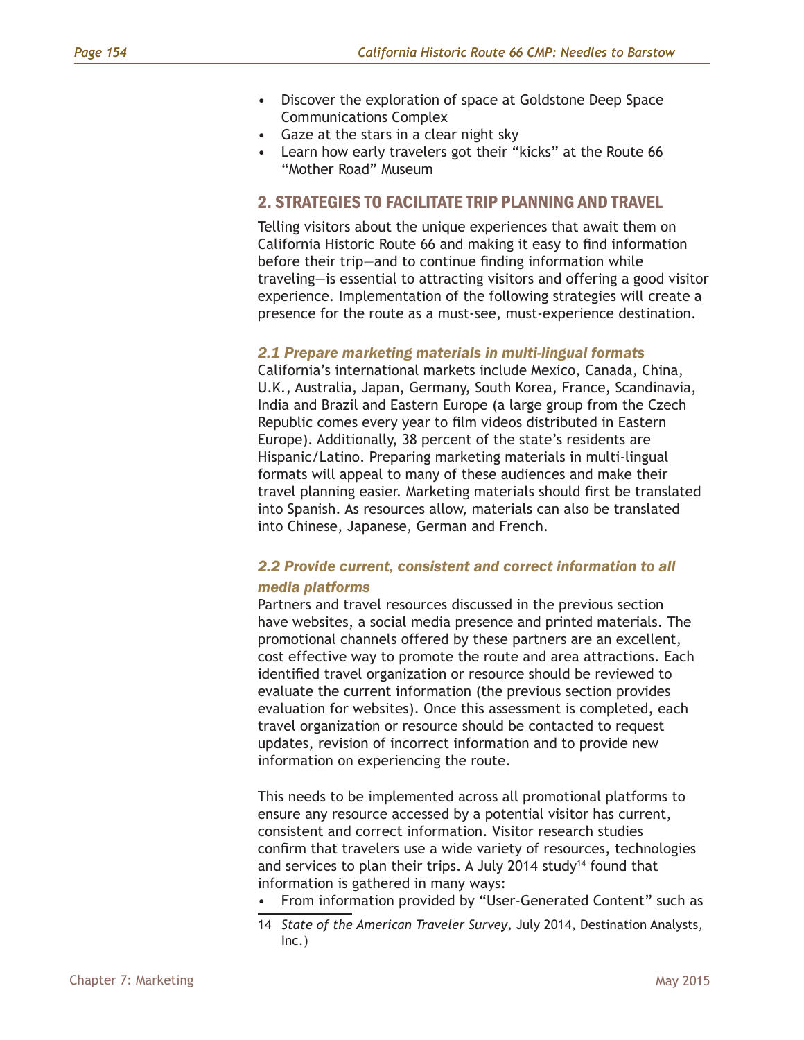- Discover the exploration of space at Goldstone Deep Space Communications Complex
- Gaze at the stars in a clear night sky
- Learn how early travelers got their "kicks" at the Route 66 "Mother Road" Museum

#### 2. STRATEGIES TO FACILITATE TRIP PLANNING AND TRAVEL

Telling visitors about the unique experiences that await them on California Historic Route 66 and making it easy to find information before their trip—and to continue finding information while traveling—is essential to attracting visitors and offering a good visitor experience. Implementation of the following strategies will create a presence for the route as a must-see, must-experience destination.

#### *2.1 Prepare marketing materials in multi-lingual formats*

California's international markets include Mexico, Canada, China, U.K., Australia, Japan, Germany, South Korea, France, Scandinavia, India and Brazil and Eastern Europe (a large group from the Czech Republic comes every year to film videos distributed in Eastern Europe). Additionally, 38 percent of the state's residents are Hispanic/Latino. Preparing marketing materials in multi-lingual formats will appeal to many of these audiences and make their travel planning easier. Marketing materials should first be translated into Spanish. As resources allow, materials can also be translated into Chinese, Japanese, German and French.

#### *2.2 Provide current, consistent and correct information to all media platforms*

Partners and travel resources discussed in the previous section have websites, a social media presence and printed materials. The promotional channels offered by these partners are an excellent, cost effective way to promote the route and area attractions. Each identified travel organization or resource should be reviewed to evaluate the current information (the previous section provides evaluation for websites). Once this assessment is completed, each travel organization or resource should be contacted to request updates, revision of incorrect information and to provide new information on experiencing the route.

This needs to be implemented across all promotional platforms to ensure any resource accessed by a potential visitor has current, consistent and correct information. Visitor research studies confirm that travelers use a wide variety of resources, technologies and services to plan their trips. A July 2014 study<sup>14</sup> found that information is gathered in many ways:

- From information provided by "User-Generated Content" such as
- 14 *State of the American Traveler Survey*, July 2014, Destination Analysts, Inc.)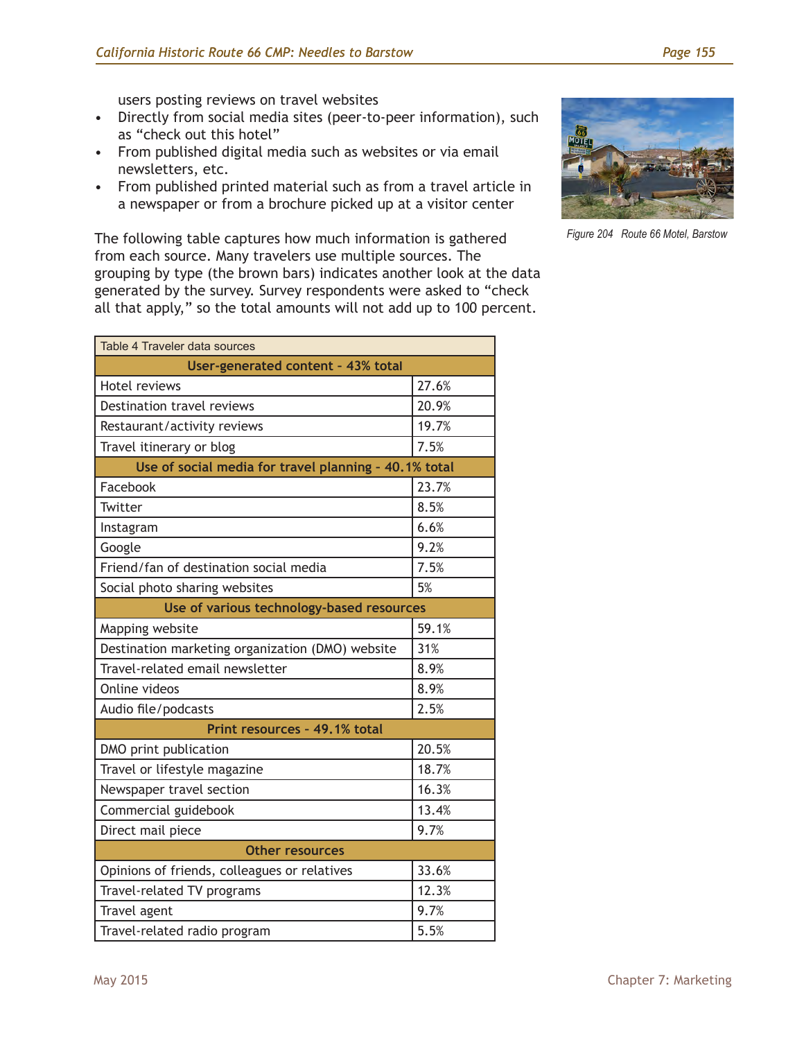users posting reviews on travel websites

- Directly from social media sites (peer-to-peer information), such as "check out this hotel"
- From published digital media such as websites or via email newsletters, etc.
- From published printed material such as from a travel article in a newspaper or from a brochure picked up at a visitor center

The following table captures how much information is gathered from each source. Many travelers use multiple sources. The grouping by type (the brown bars) indicates another look at the data generated by the survey. Survey respondents were asked to "check all that apply," so the total amounts will not add up to 100 percent.



*Figure 204 Route 66 Motel, Barstow*

| Table 4 Traveler data sources                    |                                                       |  |  |  |  |
|--------------------------------------------------|-------------------------------------------------------|--|--|--|--|
| User-generated content - 43% total               |                                                       |  |  |  |  |
| <b>Hotel reviews</b>                             | 27.6%                                                 |  |  |  |  |
| Destination travel reviews                       | 20.9%                                                 |  |  |  |  |
| Restaurant/activity reviews                      | 19.7%                                                 |  |  |  |  |
| Travel itinerary or blog                         | 7.5%                                                  |  |  |  |  |
|                                                  | Use of social media for travel planning - 40.1% total |  |  |  |  |
| Facebook                                         | 23.7%                                                 |  |  |  |  |
| Twitter                                          | 8.5%                                                  |  |  |  |  |
| Instagram                                        | 6.6%                                                  |  |  |  |  |
| Google                                           | 9.2%                                                  |  |  |  |  |
| Friend/fan of destination social media           | 7.5%                                                  |  |  |  |  |
| Social photo sharing websites                    | 5%                                                    |  |  |  |  |
| Use of various technology-based resources        |                                                       |  |  |  |  |
| Mapping website                                  | 59.1%                                                 |  |  |  |  |
| Destination marketing organization (DMO) website | 31%                                                   |  |  |  |  |
| Travel-related email newsletter                  | 8.9%                                                  |  |  |  |  |
| Online videos                                    | 8.9%                                                  |  |  |  |  |
| Audio file/podcasts                              | 2.5%                                                  |  |  |  |  |
| Print resources - 49.1% total                    |                                                       |  |  |  |  |
| DMO print publication                            | 20.5%                                                 |  |  |  |  |
| Travel or lifestyle magazine                     | 18.7%                                                 |  |  |  |  |
| Newspaper travel section                         | 16.3%                                                 |  |  |  |  |
| Commercial guidebook                             | 13.4%                                                 |  |  |  |  |
| Direct mail piece                                | 9.7%                                                  |  |  |  |  |
| <b>Other resources</b>                           |                                                       |  |  |  |  |
| Opinions of friends, colleagues or relatives     | 33.6%                                                 |  |  |  |  |
| Travel-related TV programs                       | 12.3%                                                 |  |  |  |  |
| Travel agent                                     | 9.7%                                                  |  |  |  |  |
| Travel-related radio program                     | 5.5%                                                  |  |  |  |  |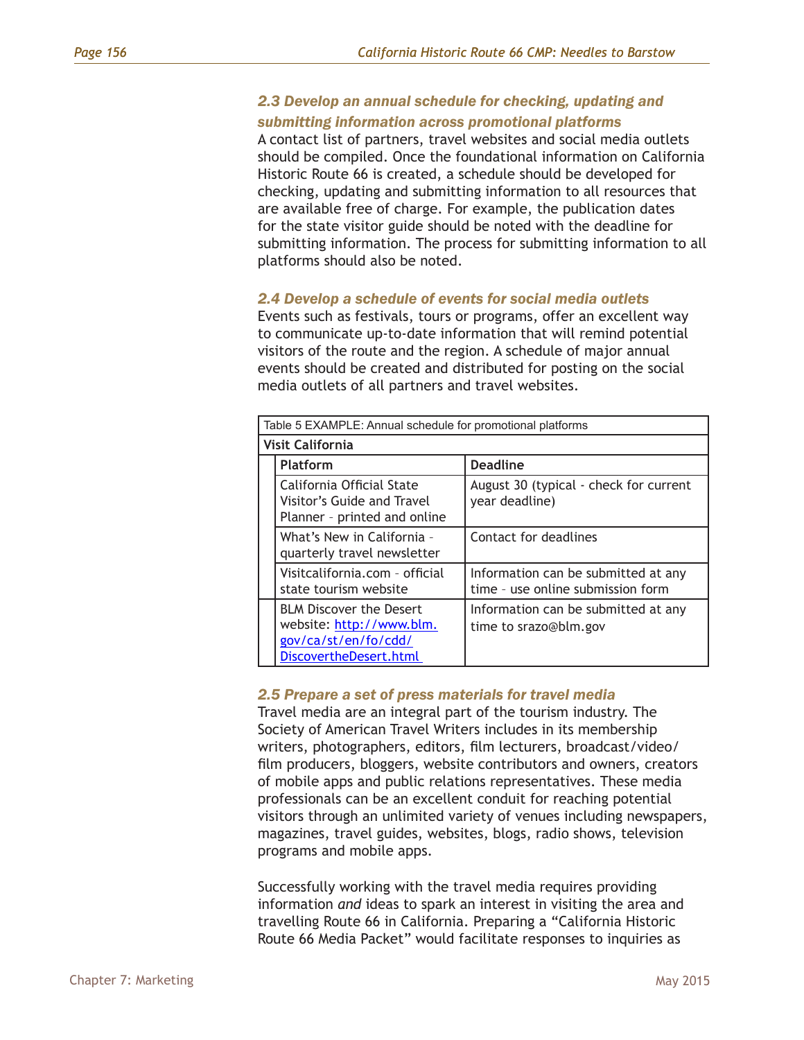#### *2.3 Develop an annual schedule for checking, updating and submitting information across promotional platforms*

A contact list of partners, travel websites and social media outlets should be compiled. Once the foundational information on California Historic Route 66 is created, a schedule should be developed for checking, updating and submitting information to all resources that are available free of charge. For example, the publication dates for the state visitor guide should be noted with the deadline for submitting information. The process for submitting information to all platforms should also be noted.

#### *2.4 Develop a schedule of events for social media outlets*

Events such as festivals, tours or programs, offer an excellent way to communicate up-to-date information that will remind potential visitors of the route and the region. A schedule of major annual events should be created and distributed for posting on the social media outlets of all partners and travel websites.

|  | Table 5 EXAMPLE: Annual schedule for promotional platforms                                                   |                                                                          |  |  |  |  |
|--|--------------------------------------------------------------------------------------------------------------|--------------------------------------------------------------------------|--|--|--|--|
|  | <b>Visit California</b>                                                                                      |                                                                          |  |  |  |  |
|  | <b>Platform</b>                                                                                              | <b>Deadline</b>                                                          |  |  |  |  |
|  | California Official State<br>Visitor's Guide and Travel<br>Planner - printed and online                      | August 30 (typical - check for current<br>year deadline)                 |  |  |  |  |
|  | What's New in California -<br>quarterly travel newsletter                                                    | Contact for deadlines                                                    |  |  |  |  |
|  | Visitcalifornia.com - official<br>state tourism website                                                      | Information can be submitted at any<br>time - use online submission form |  |  |  |  |
|  | <b>BLM Discover the Desert</b><br>website: http://www.blm.<br>gov/ca/st/en/fo/cdd/<br>DiscovertheDesert.html | Information can be submitted at any<br>time to srazo@blm.gov             |  |  |  |  |

#### *2.5 Prepare a set of press materials for travel media*

Travel media are an integral part of the tourism industry. The Society of American Travel Writers includes in its membership writers, photographers, editors, film lecturers, broadcast/video/ film producers, bloggers, website contributors and owners, creators of mobile apps and public relations representatives. These media professionals can be an excellent conduit for reaching potential visitors through an unlimited variety of venues including newspapers, magazines, travel guides, websites, blogs, radio shows, television programs and mobile apps.

Successfully working with the travel media requires providing information *and* ideas to spark an interest in visiting the area and travelling Route 66 in California. Preparing a "California Historic Route 66 Media Packet" would facilitate responses to inquiries as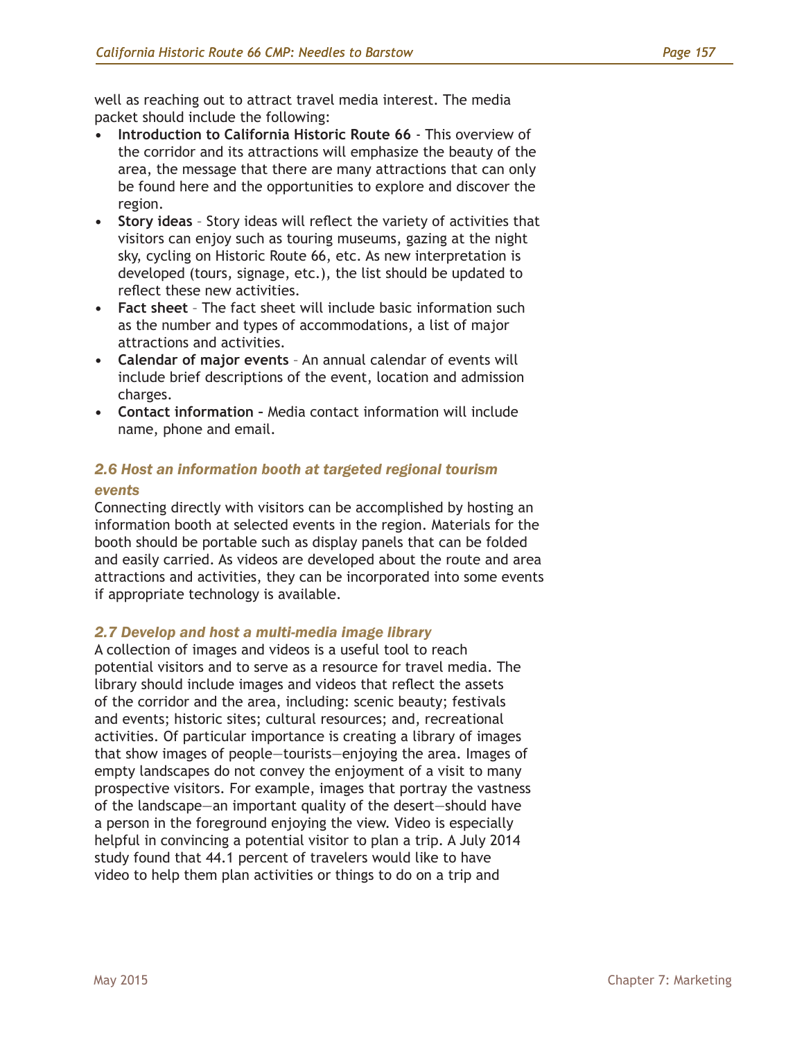well as reaching out to attract travel media interest. The media packet should include the following:

- **• Introduction to California Historic Route 66** This overview of the corridor and its attractions will emphasize the beauty of the area, the message that there are many attractions that can only be found here and the opportunities to explore and discover the region.
- **• Story ideas** Story ideas will reflect the variety of activities that visitors can enjoy such as touring museums, gazing at the night sky, cycling on Historic Route 66, etc. As new interpretation is developed (tours, signage, etc.), the list should be updated to reflect these new activities.
- **• Fact sheet** The fact sheet will include basic information such as the number and types of accommodations, a list of major attractions and activities.
- **• Calendar of major events** An annual calendar of events will include brief descriptions of the event, location and admission charges.
- **• Contact information** Media contact information will include name, phone and email.

## *2.6 Host an information booth at targeted regional tourism*

#### *events*

Connecting directly with visitors can be accomplished by hosting an information booth at selected events in the region. Materials for the booth should be portable such as display panels that can be folded and easily carried. As videos are developed about the route and area attractions and activities, they can be incorporated into some events if appropriate technology is available.

#### *2.7 Develop and host a multi-media image library*

A collection of images and videos is a useful tool to reach potential visitors and to serve as a resource for travel media. The library should include images and videos that reflect the assets of the corridor and the area, including: scenic beauty; festivals and events; historic sites; cultural resources; and, recreational activities. Of particular importance is creating a library of images that show images of people—tourists—enjoying the area. Images of empty landscapes do not convey the enjoyment of a visit to many prospective visitors. For example, images that portray the vastness of the landscape—an important quality of the desert—should have a person in the foreground enjoying the view. Video is especially helpful in convincing a potential visitor to plan a trip. A July 2014 study found that 44.1 percent of travelers would like to have video to help them plan activities or things to do on a trip and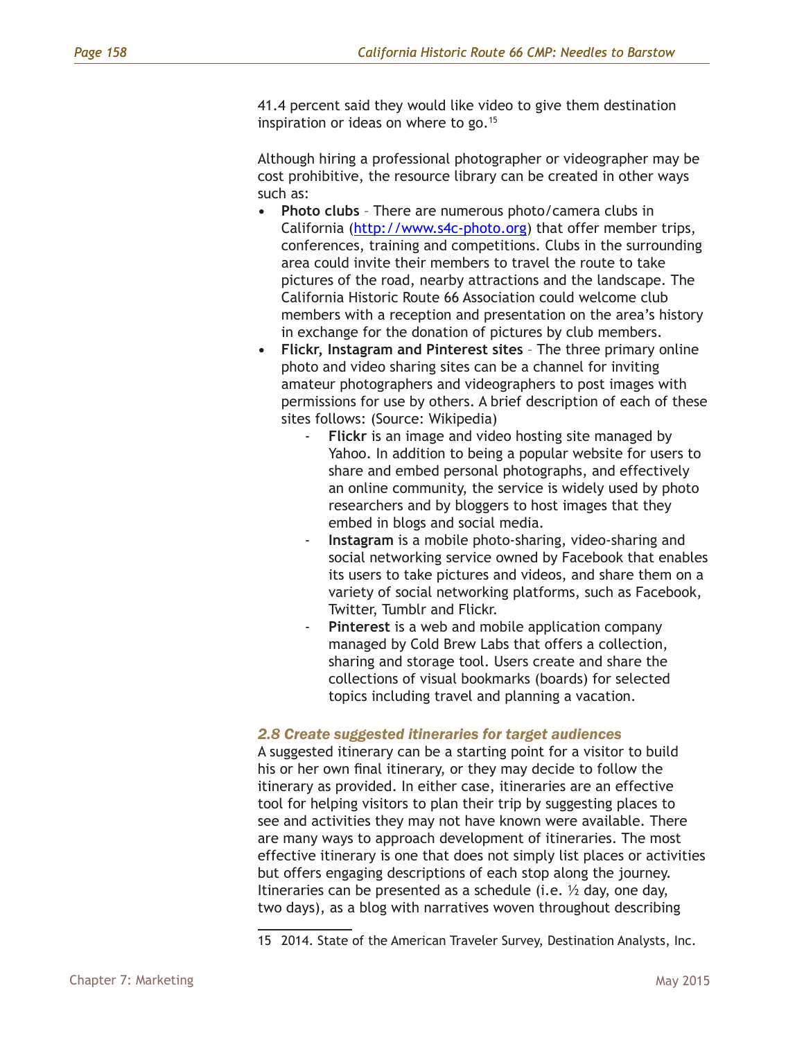41.4 percent said they would like video to give them destination inspiration or ideas on where to go.<sup>15</sup>

Although hiring a professional photographer or videographer may be cost prohibitive, the resource library can be created in other ways such as:

- **• Photo clubs** There are numerous photo/camera clubs in California (<http://www.s4c-photo.org>) that offer member trips, conferences, training and competitions. Clubs in the surrounding area could invite their members to travel the route to take pictures of the road, nearby attractions and the landscape. The California Historic Route 66 Association could welcome club members with a reception and presentation on the area's history in exchange for the donation of pictures by club members.
- **• Flickr, Instagram and Pinterest sites** The three primary online photo and video sharing sites can be a channel for inviting amateur photographers and videographers to post images with permissions for use by others. A brief description of each of these sites follows: (Source: Wikipedia)
	- Flickr is an image and video hosting site managed by Yahoo. In addition to being a popular website for users to share and embed personal photographs, and effectively an online community, the service is widely used by photo researchers and by bloggers to host images that they embed in blogs and social media.
	- Instagram is a mobile photo-sharing, video-sharing and social networking service owned by Facebook that enables its users to take pictures and videos, and share them on a variety of social networking platforms, such as Facebook, Twitter, Tumblr and Flickr.
	- Pinterest is a web and mobile application company managed by Cold Brew Labs that offers a collection, sharing and storage tool. Users create and share the collections of visual bookmarks (boards) for selected topics including travel and planning a vacation.

#### *2.8 Create suggested itineraries for target audiences*

A suggested itinerary can be a starting point for a visitor to build his or her own final itinerary, or they may decide to follow the itinerary as provided. In either case, itineraries are an effective tool for helping visitors to plan their trip by suggesting places to see and activities they may not have known were available. There are many ways to approach development of itineraries. The most effective itinerary is one that does not simply list places or activities but offers engaging descriptions of each stop along the journey. Itineraries can be presented as a schedule (i.e. ½ day, one day, two days), as a blog with narratives woven throughout describing

<sup>15</sup> 2014. State of the American Traveler Survey, Destination Analysts, Inc.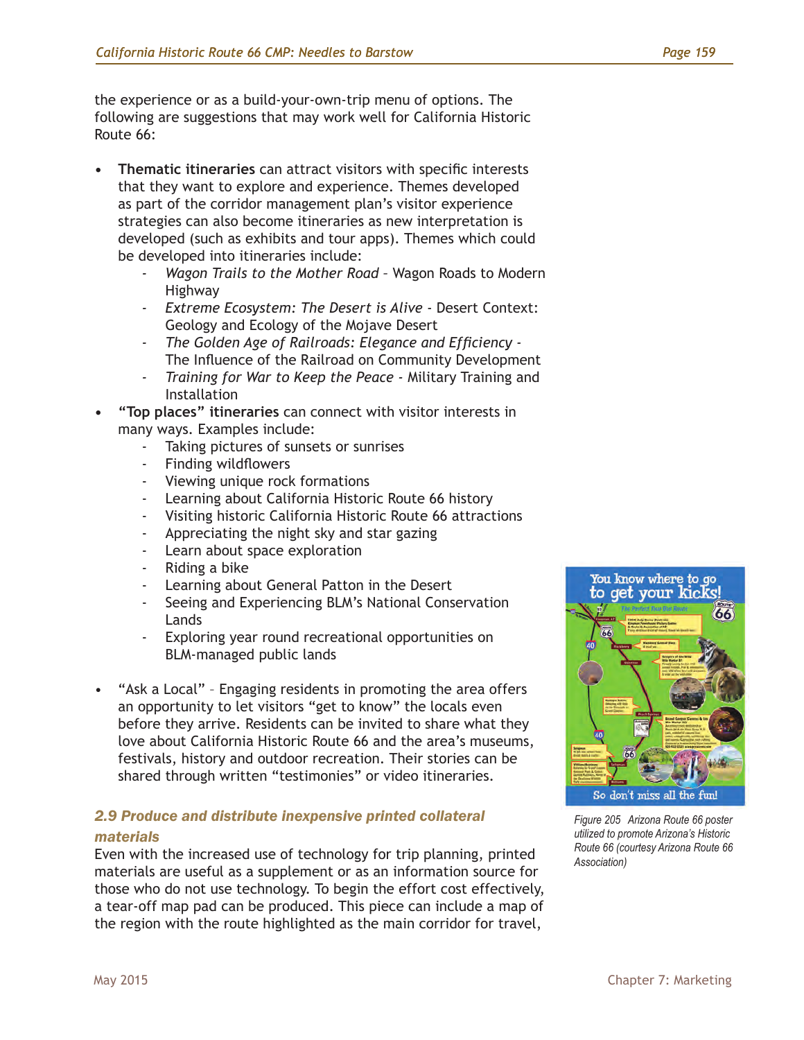the experience or as a build-your-own-trip menu of options. The following are suggestions that may work well for California Historic Route 66:

- **• Thematic itineraries** can attract visitors with specific interests that they want to explore and experience. Themes developed as part of the corridor management plan's visitor experience strategies can also become itineraries as new interpretation is developed (such as exhibits and tour apps). Themes which could be developed into itineraries include:
	- *- Wagon Trails to the Mother Road* Wagon Roads to Modern Highway
	- *- Extreme Ecosystem: The Desert is Alive* Desert Context: Geology and Ecology of the Mojave Desert
	- *- The Golden Age of Railroads: Elegance and Efficiency*  The Influence of the Railroad on Community Development
	- *- Training for War to Keep the Peace* Military Training and Installation
- **• "Top places" itineraries** can connect with visitor interests in many ways. Examples include:
	- Taking pictures of sunsets or sunrises
	- Finding wildflowers
	- Viewing unique rock formations
	- Learning about California Historic Route 66 history
	- Visiting historic California Historic Route 66 attractions
	- Appreciating the night sky and star gazing
	- Learn about space exploration
	- Riding a bike
	- Learning about General Patton in the Desert
	- Seeing and Experiencing BLM's National Conservation Lands
	- Exploring year round recreational opportunities on BLM-managed public lands
- "Ask a Local" Engaging residents in promoting the area offers an opportunity to let visitors "get to know" the locals even before they arrive. Residents can be invited to share what they love about California Historic Route 66 and the area's museums, festivals, history and outdoor recreation. Their stories can be shared through written "testimonies" or video itineraries.

## *2.9 Produce and distribute inexpensive printed collateral*

#### *materials*

Even with the increased use of technology for trip planning, printed materials are useful as a supplement or as an information source for those who do not use technology. To begin the effort cost effectively, a tear-off map pad can be produced. This piece can include a map of the region with the route highlighted as the main corridor for travel,



*Figure 205 Arizona Route 66 poster utilized to promote Arizona's Historic Route 66 (courtesy Arizona Route 66 Association)*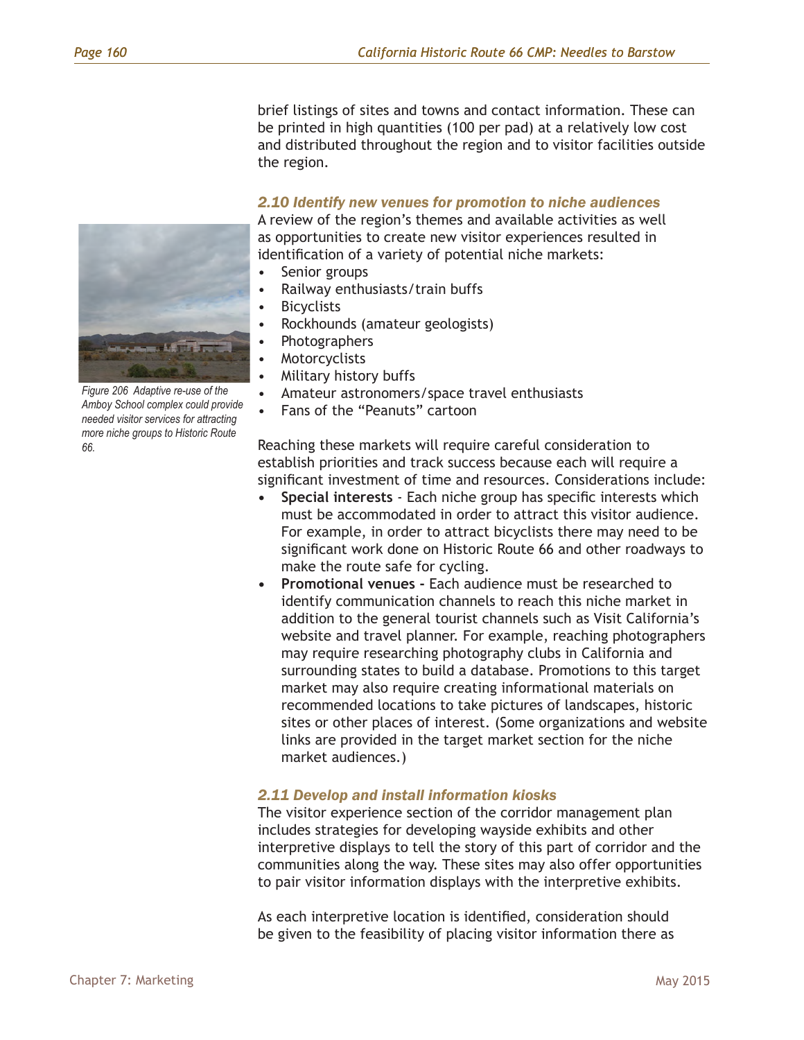brief listings of sites and towns and contact information. These can be printed in high quantities (100 per pad) at a relatively low cost and distributed throughout the region and to visitor facilities outside the region.

#### *2.10 Identify new venues for promotion to niche audiences*

A review of the region's themes and available activities as well as opportunities to create new visitor experiences resulted in identification of a variety of potential niche markets:

- Senior groups
- Railway enthusiasts/train buffs
- Bicyclists
- Rockhounds (amateur geologists)
- Photographers
- **Motorcyclists**
- Military history buffs
- Amateur astronomers/space travel enthusiasts
- Fans of the "Peanuts" cartoon

Reaching these markets will require careful consideration to establish priorities and track success because each will require a significant investment of time and resources. Considerations include:

- **• Special interests** Each niche group has specific interests which must be accommodated in order to attract this visitor audience. For example, in order to attract bicyclists there may need to be significant work done on Historic Route 66 and other roadways to make the route safe for cycling.
- **• Promotional venues** Each audience must be researched to identify communication channels to reach this niche market in addition to the general tourist channels such as Visit California's website and travel planner. For example, reaching photographers may require researching photography clubs in California and surrounding states to build a database. Promotions to this target market may also require creating informational materials on recommended locations to take pictures of landscapes, historic sites or other places of interest. (Some organizations and website links are provided in the target market section for the niche market audiences.)

#### *2.11 Develop and install information kiosks*

The visitor experience section of the corridor management plan includes strategies for developing wayside exhibits and other interpretive displays to tell the story of this part of corridor and the communities along the way. These sites may also offer opportunities to pair visitor information displays with the interpretive exhibits.

As each interpretive location is identified, consideration should be given to the feasibility of placing visitor information there as



*Figure 206 Adaptive re-use of the Amboy School complex could provide needed visitor services for attracting more niche groups to Historic Route 66.*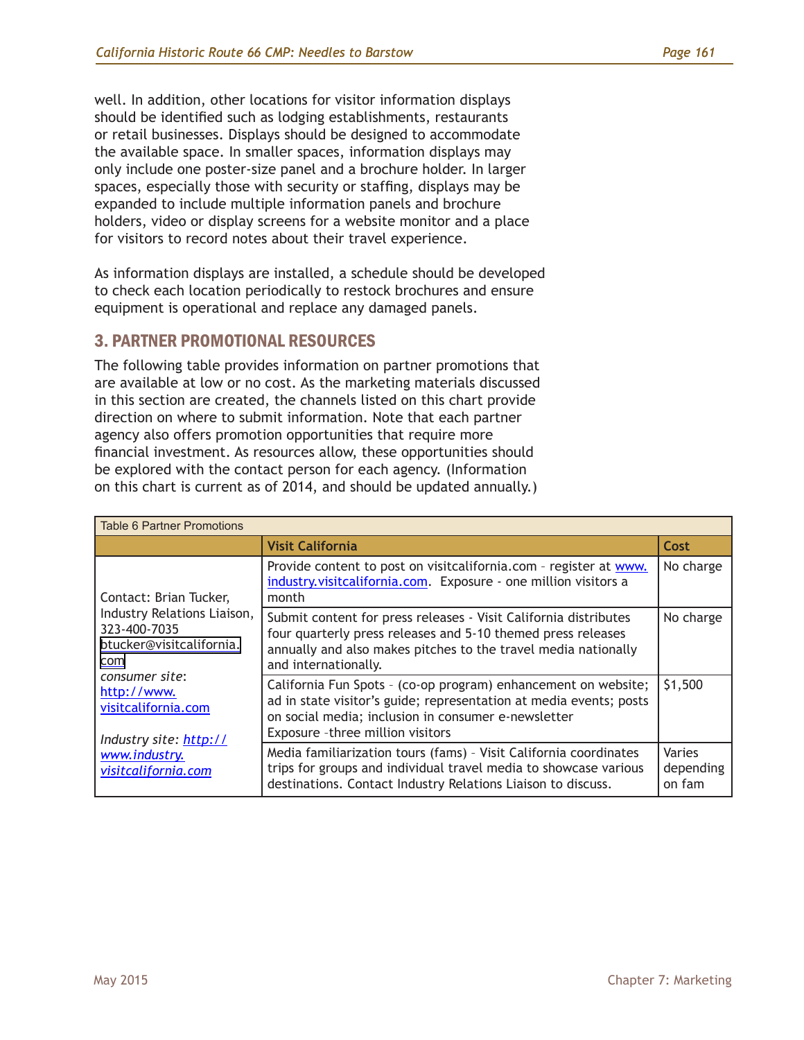well. In addition, other locations for visitor information displays should be identified such as lodging establishments, restaurants or retail businesses. Displays should be designed to accommodate the available space. In smaller spaces, information displays may only include one poster-size panel and a brochure holder. In larger spaces, especially those with security or staffing, displays may be expanded to include multiple information panels and brochure holders, video or display screens for a website monitor and a place for visitors to record notes about their travel experience.

As information displays are installed, a schedule should be developed to check each location periodically to restock brochures and ensure equipment is operational and replace any damaged panels.

## 3. PARTNER PROMOTIONAL RESOURCES

The following table provides information on partner promotions that are available at low or no cost. As the marketing materials discussed in this section are created, the channels listed on this chart provide direction on where to submit information. Note that each partner agency also offers promotion opportunities that require more financial investment. As resources allow, these opportunities should be explored with the contact person for each agency. (Information on this chart is current as of 2014, and should be updated annually.)

| <b>Table 6 Partner Promotions</b>                                                                        |                                                                                                                                                                                                                                  |                               |  |  |  |
|----------------------------------------------------------------------------------------------------------|----------------------------------------------------------------------------------------------------------------------------------------------------------------------------------------------------------------------------------|-------------------------------|--|--|--|
|                                                                                                          | <b>Visit California</b>                                                                                                                                                                                                          | Cost                          |  |  |  |
| Contact: Brian Tucker,<br>Industry Relations Liaison,<br>323-400-7035<br>btucker@visitcalifornia.<br>com | Provide content to post on visitcalifornia.com - register at www.<br>industry.visitcalifornia.com. Exposure - one million visitors a<br>month                                                                                    | No charge                     |  |  |  |
|                                                                                                          | Submit content for press releases - Visit California distributes<br>four quarterly press releases and 5-10 themed press releases<br>annually and also makes pitches to the travel media nationally<br>and internationally.       | No charge                     |  |  |  |
| consumer site:<br>http://www.<br>visitcalifornia.com<br>Industry site: http://                           | California Fun Spots - (co-op program) enhancement on website;<br>ad in state visitor's guide; representation at media events; posts<br>on social media; inclusion in consumer e-newsletter<br>Exposure - three million visitors | \$1,500                       |  |  |  |
| www.industry.<br>visitcalifornia.com                                                                     | Media familiarization tours (fams) - Visit California coordinates<br>trips for groups and individual travel media to showcase various<br>destinations. Contact Industry Relations Liaison to discuss.                            | Varies<br>depending<br>on fam |  |  |  |